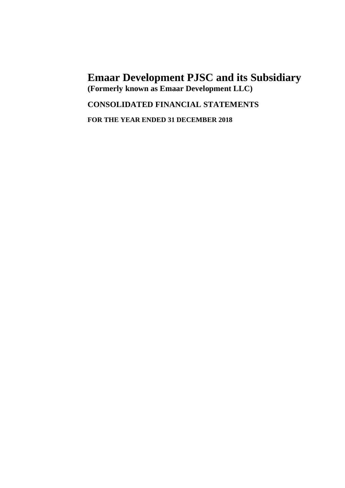## **CONSOLIDATED FINANCIAL STATEMENTS**

**FOR THE YEAR ENDED 31 DECEMBER 2018**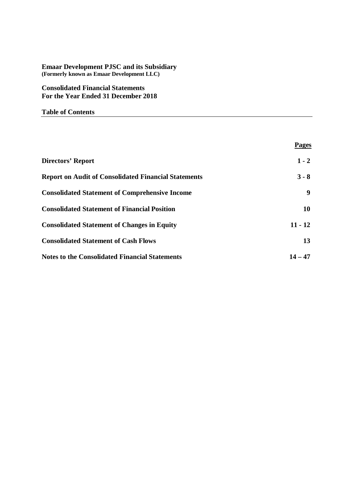## **Consolidated Financial Statements For the Year Ended 31 December 2018**

## **Table of Contents**

|                                                             | <b>Pages</b> |
|-------------------------------------------------------------|--------------|
| Directors' Report                                           | $1 - 2$      |
| <b>Report on Audit of Consolidated Financial Statements</b> | $3 - 8$      |
| <b>Consolidated Statement of Comprehensive Income</b>       | 9            |
| <b>Consolidated Statement of Financial Position</b>         | 10           |
| <b>Consolidated Statement of Changes in Equity</b>          | $11 - 12$    |
| <b>Consolidated Statement of Cash Flows</b>                 | 13           |
| <b>Notes to the Consolidated Financial Statements</b>       | $14 - 47$    |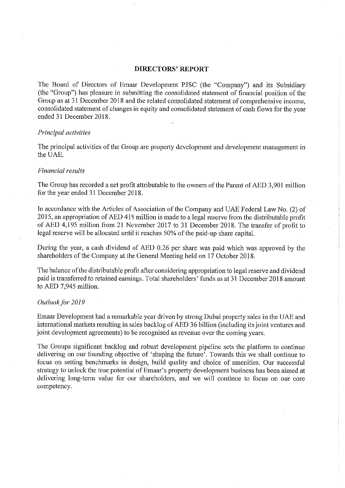## **DIRECTORS' REPORT**

The Board of Directors of Emaar Development PJSC (the "Company") and its Subsidiary (the "Group") has pleasure in submitting the consolidated statement of financial position of the Group as at 31 December 2018 and the related consolidated statement of comprehensive income. consolidated statement of changes in equity and consolidated statement of cash flows for the year ended 31 December 2018.

### Principal activities

The principal activities of the Group are property development and development management in the UAE.

## Financial results

The Group has recorded a net profit attributable to the owners of the Parent of AED 3,901 million for the year ended 31 December 2018.

In accordance with the Articles of Association of the Company and UAE Federal Law No. (2) of 2015, an appropriation of AED 419 million is made to a legal reserve from the distributable profit of AED 4,195 million from 21 November 2017 to 31 December 2018. The transfer of profit to legal reserve will be allocated until it reaches 50% of the paid-up share capital.

During the year, a cash dividend of AED 0.26 per share was paid which was approved by the shareholders of the Company at the General Meeting held on 17 October 2018.

The balance of the distributable profit after considering appropriation to legal reserve and dividend paid is transferred to retained earnings. Total shareholders' funds as at 31 December 2018 amount to AED 7,945 million.

## Outlook for 2019

Emaar Development had a remarkable year driven by strong Dubai property sales in the UAE and international markets resulting in sales backlog of AED 36 billion (including its joint ventures and joint development agreements) to be recognised as revenue over the coming years.

The Groups significant backlog and robust development pipeline sets the platform to continue delivering on our founding objective of 'shaping the future'. Towards this we shall continue to focus on setting benchmarks in design, build quality and choice of amenities. Our successful strategy to unlock the true potential of Emaar's property development business has been aimed at delivering long-term value for our shareholders, and we will continue to focus on our core competency.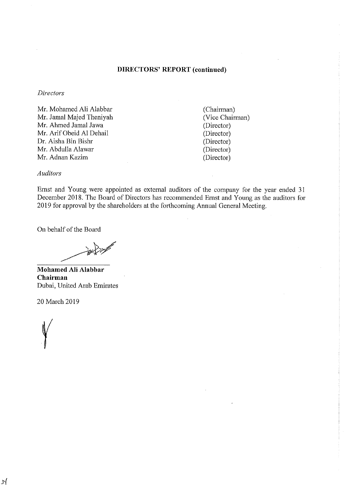## **DIRECTORS' REPORT (continued)**

## **Directors**

Mr. Mohamed Ali Alabbar Mr. Jamal Majed Theniyah Mr. Ahmed Jamal Jawa Mr. Arif Obeid Al Dehail Dr. Aisha Bin Bishr Mr. Abdulla Alawar Mr. Adnan Kazim

(Chairman) (Vice Chairman) (Director) (Director) (Director) (Director) (Director)

## **Auditors**

Ernst and Young were appointed as external auditors of the company for the year ended 31 December 2018. The Board of Directors has recommended Ernst and Young as the auditors for 2019 for approval by the shareholders at the forthcoming Annual General Meeting.

On behalf of the Board

Mohamed Ali Alabbar Chairman Dubai, United Arab Emirates

20 March 2019

 $\mathcal{N}$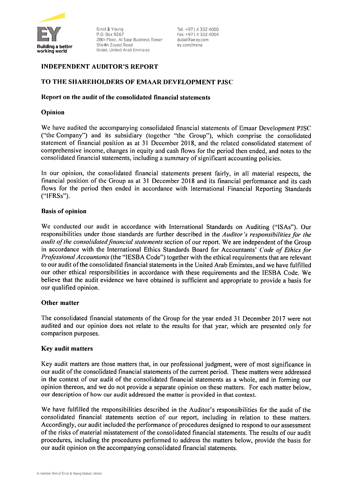

Ernst & Young P.O. Box 9267 28th Floor, Al Sagr Business Tower Sheikh Zaved Road Dubal, United Arab Emirates

Tel: +971 4 332 4000 Fax: +971 4 332 4004 dubal@ae.ey.com ey.com/mena

## **INDEPENDENT AUDITOR'S REPORT**

## TO THE SHAREHOLDERS OF EMAAR DEVELOPMENT PJSC

## Report on the audit of the consolidated financial statements

## Opinion

We have audited the accompanying consolidated financial statements of Emaar Development PJSC ("the Company") and its subsidiary (together "the Group"), which comprise the consolidated statement of financial position as at 31 December 2018, and the related consolidated statement of comprehensive income, changes in equity and cash flows for the period then ended, and notes to the consolidated financial statements, including a summary of significant accounting policies.

In our opinion, the consolidated financial statements present fairly, in all material respects, the financial position of the Group as at 31 December 2018 and its financial performance and its cash flows for the period then ended in accordance with International Financial Reporting Standards  $("IFRSs").$ 

## **Basis of opinion**

We conducted our audit in accordance with International Standards on Auditing ("ISAs"). Our responsibilities under those standards are further described in the Auditor's responsibilities for the audit of the consolidated financial statements section of our report. We are independent of the Group in accordance with the International Ethics Standards Board for Accountants' Code of Ethics for Professional Accountants (the "IESBA Code") together with the ethical requirements that are relevant to our audit of the consolidated financial statements in the United Arab Emirates, and we have fulfilled our other ethical responsibilities in accordance with these requirements and the IESBA Code. We believe that the audit evidence we have obtained is sufficient and appropriate to provide a basis for our qualified opinion.

## Other matter

The consolidated financial statements of the Group for the year ended 31 December 2017 were not audited and our opinion does not relate to the results for that year, which are presented only for comparison purposes.

## Key audit matters

Key audit matters are those matters that, in our professional judgment, were of most significance in our audit of the consolidated financial statements of the current period. These matters were addressed in the context of our audit of the consolidated financial statements as a whole, and in forming our opinion thereon, and we do not provide a separate opinion on these matters. For each matter below, our description of how our audit addressed the matter is provided in that context.

We have fulfilled the responsibilities described in the Auditor's responsibilities for the audit of the consolidated financial statements section of our report, including in relation to these matters. Accordingly, our audit included the performance of procedures designed to respond to our assessment of the risks of material misstatement of the consolidated financial statements. The results of our audit procedures, including the procedures performed to address the matters below, provide the basis for our audit opinion on the accompanying consolidated financial statements.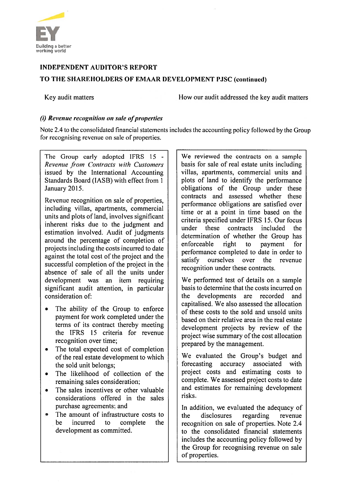

## **INDEPENDENT AUDITOR'S REPORT** TO THE SHAREHOLDERS OF EMAAR DEVELOPMENT PJSC (continued)

Key audit matters

How our audit addressed the key audit matters

## (i) Revenue recognition on sale of properties

Note 2.4 to the consolidated financial statements includes the accounting policy followed by the Group for recognising revenue on sale of properties.

The Group early adopted IFRS 15 -Revenue from Contracts with Customers issued by the International Accounting Standards Board (IASB) with effect from 1 Jänuary 2015.

Revenue recognition on sale of properties, including villas, apartments, commercial units and plots of land, involves significant inherent risks due to the judgment and estimation involved. Audit of judgments around the percentage of completion of projects including the costs incurred to date against the total cost of the project and the successful completion of the project in the absence of sale of all the units under development was an item requiring significant audit attention, in particular consideration of:

- $\bullet$ The ability of the Group to enforce payment for work completed under the terms of its contract thereby meeting the IFRS 15 criteria for revenue recognition over time:
- The total expected cost of completion  $\bullet$ of the real estate development to which the sold unit belongs;
- The likelihood of collection of the  $\bullet$ remaining sales consideration;
- The sales incentives or other valuable considerations offered in the sales purchase agreements; and
- The amount of infrastructure costs to  $\bullet$ be incurred  $\mathbf{t}$ complete the development as committed.

We reviewed the contracts on a sample basis for sale of real estate units including villas, apartments, commercial units and plots of land to identify the performance obligations of the Group under these contracts and assessed whether these performance obligations are satisfied over time or at a point in time based on the criteria specified under IFRS 15. Our focus under these contracts included the determination of whether the Group has enforceable right to payment  $for$ performance completed to date in order to ourselves over the revenue satisfy recognition under these contracts.

We performed test of details on a sample basis to determine that the costs incurred on the developments are recorded and capitalised. We also assessed the allocation of these costs to the sold and unsold units based on their relative area in the real estate development projects by review of the project wise summary of the cost allocation prepared by the management.

We evaluated the Group's budget and forecasting accuracy associated with project costs and estimating costs to complete. We assessed project costs to date and estimates for remaining development risks.

In addition, we evaluated the adequacy of the disclosures regarding revenue recognition on sale of properties. Note 2.4 to the consolidated financial statements includes the accounting policy followed by the Group for recognising revenue on sale of properties.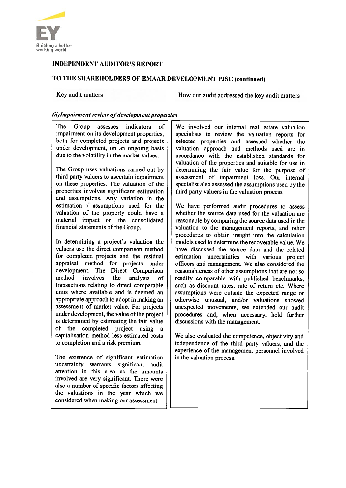

## TO THE SHAREHOLDERS OF EMAAR DEVELOPMENT PJSC (continued)

Key audit matters

How our audit addressed the key audit matters

## (ii) Impairment review of development properties

The 1 Group assesses indicators of impairment on its development properties, both for completed projects and projects under development, on an ongoing basis due to the volatility in the market values.

The Group uses valuations carried out by third party valuers to ascertain impairment on these properties. The valuation of the properties involves significant estimation and assumptions. Any variation in the estimation  $\ell$  assumptions used for the valuation of the property could have a material impact on the consolidated financial statements of the Group.

In determining a project's valuation the valuers use the direct comparison method for completed projects and the residual appraisal method for projects under development. The Direct Comparison method involves the analysis  $\alpha$ f transactions relating to direct comparable units where available and is deemed an appropriate approach to adopt in making an assessment of market value. For projects under development, the value of the project is determined by estimating the fair value of the completed project using a capitalisation method less estimated costs to completion and a risk premium.

The existence of significant estimation uncertainty warrants significant audit attention in this area as the amounts involved are very significant. There were also a number of specific factors affecting the valuations in the year which we considered when making our assessment.

We involved our internal real estate valuation specialists to review the valuation reports for selected properties and assessed whether the valuation approach and methods used are in accordance with the established standards for valuation of the properties and suitable for use in determining the fair value for the purpose of assessment of impairment loss. Our internal specialist also assessed the assumptions used by the third party valuers in the valuation process.

We have performed audit procedures to assess whether the source data used for the valuation are reasonable by comparing the source data used in the valuation to the management reports, and other procedures to obtain insight into the calculation models used to determine the recoverable value. We have discussed the source data and the related estimation uncertainties with various project officers and management. We also considered the reasonableness of other assumptions that are not so readily comparable with published benchmarks, such as discount rates, rate of return etc. Where assumptions were outside the expected range or otherwise unusual, and/or valuations showed unexpected movements, we extended our audit procedures and, when necessary, held further discussions with the management.

We also evaluated the competence, objectivity and independence of the third party valuers, and the experience of the management personnel involved in the valuation process.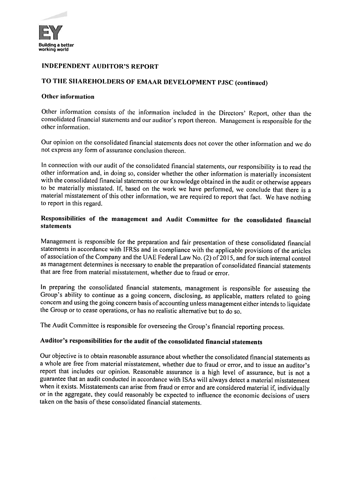

## TO THE SHAREHOLDERS OF EMAAR DEVELOPMENT PJSC (continued)

## **Other information**

Other information consists of the information included in the Directors' Report, other than the consolidated financial statements and our auditor's report thereon. Management is responsible for the other information.

Our opinion on the consolidated financial statements does not cover the other information and we do not express any form of assurance conclusion thereon.

In connection with our audit of the consolidated financial statements, our responsibility is to read the other information and, in doing so, consider whether the other information is materially inconsistent with the consolidated financial statements or our knowledge obtained in the audit or otherwise appears to be materially misstated. If, based on the work we have performed, we conclude that there is a material misstatement of this other information, we are required to report that fact. We have nothing to report in this regard.

## Responsibilities of the management and Audit Committee for the consolidated financial **statements**

Management is responsible for the preparation and fair presentation of these consolidated financial statements in accordance with IFRSs and in compliance with the applicable provisions of the articles of association of the Company and the UAE Federal Law No. (2) of 2015, and for such internal control as management determines is necessary to enable the preparation of consolidated financial statements that are free from material misstatement, whether due to fraud or error.

In preparing the consolidated financial statements, management is responsible for assessing the Group's ability to continue as a going concern, disclosing, as applicable, matters related to going concern and using the going concern basis of accounting unless management either intends to liquidate the Group or to cease operations, or has no realistic alternative but to do so.

The Audit Committee is responsible for overseeing the Group's financial reporting process.

## Auditor's responsibilities for the audit of the consolidated financial statements

Our objective is to obtain reasonable assurance about whether the consolidated financial statements as a whole are free from material misstatement, whether due to fraud or error, and to issue an auditor's report that includes our opinion. Reasonable assurance is a high level of assurance, but is not a guarantee that an audit conducted in accordance with ISAs will always detect a material misstatement when it exists. Misstatements can arise from fraud or error and are considered material if, individually or in the aggregate, they could reasonably be expected to influence the economic decisions of users taken on the basis of these consolidated financial statements.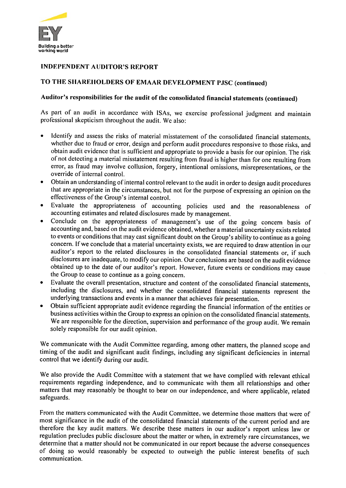

## TO THE SHAREHOLDERS OF EMAAR DEVELOPMENT PJSC (continued)

## Auditor's responsibilities for the audit of the consolidated financial statements (continued)

As part of an audit in accordance with ISAs, we exercise professional judgment and maintain professional skepticism throughout the audit. We also:

- Identify and assess the risks of material misstatement of the consolidated financial statements, whether due to fraud or error, design and perform audit procedures responsive to those risks, and obtain audit evidence that is sufficient and appropriate to provide a basis for our opinion. The risk of not detecting a material misstatement resulting from fraud is higher than for one resulting from error, as fraud may involve collusion, forgery, intentional omissions, misrepresentations, or the override of internal control.
- Obtain an understanding of internal control relevant to the audit in order to design audit procedures  $\bullet$ that are appropriate in the circumstances, but not for the purpose of expressing an opinion on the effectiveness of the Group's internal control.
- Evaluate the appropriateness of accounting policies used and the reasonableness of  $\bullet$ accounting estimates and related disclosures made by management.
- Conclude on the appropriateness of management's use of the going concern basis of  $\bullet$ accounting and, based on the audit evidence obtained, whether a material uncertainty exists related to events or conditions that may cast significant doubt on the Group's ability to continue as a going concern. If we conclude that a material uncertainty exists, we are required to draw attention in our auditor's report to the related disclosures in the consolidated financial statements or, if such disclosures are inadequate, to modify our opinion. Our conclusions are based on the audit evidence obtained up to the date of our auditor's report. However, future events or conditions may cause the Group to cease to continue as a going concern.
- Evaluate the overall presentation, structure and content of the consolidated financial statements,  $\bullet$ including the disclosures, and whether the consolidated financial statements represent the underlying transactions and events in a manner that achieves fair presentation.
- Obtain sufficient appropriate audit evidence regarding the financial information of the entities or business activities within the Group to express an opinion on the consolidated financial statements. We are responsible for the direction, supervision and performance of the group audit. We remain solely responsible for our audit opinion.

We communicate with the Audit Committee regarding, among other matters, the planned scope and timing of the audit and significant audit findings, including any significant deficiencies in internal control that we identify during our audit.

We also provide the Audit Committee with a statement that we have complied with relevant ethical requirements regarding independence, and to communicate with them all relationships and other matters that may reasonably be thought to bear on our independence, and where applicable, related safeguards.

From the matters communicated with the Audit Committee, we determine those matters that were of most significance in the audit of the consolidated financial statements of the current period and are therefore the key audit matters. We describe these matters in our auditor's report unless law or regulation precludes public disclosure about the matter or when, in extremely rare circumstances, we determine that a matter should not be communicated in our report because the adverse consequences of doing so would reasonably be expected to outweigh the public interest benefits of such communication.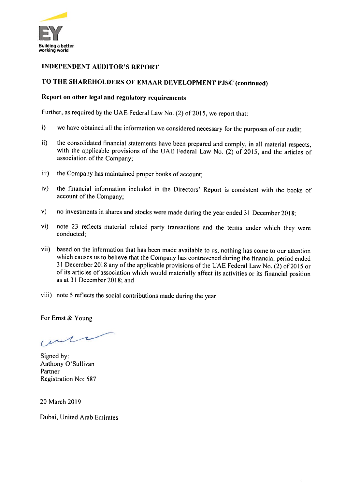

## TO THE SHAREHOLDERS OF EMAAR DEVELOPMENT PJSC (continued)

## Report on other legal and regulatory requirements

Further, as required by the UAE Federal Law No. (2) of 2015, we report that:

- $\mathbf{i}$ we have obtained all the information we considered necessary for the purposes of our audit;
- the consolidated financial statements have been prepared and comply, in all material respects,  $\mathbf{ii}$ with the applicable provisions of the UAE Federal Law No. (2) of 2015, and the articles of association of the Company;
- the Company has maintained proper books of account; iii)
- the financial information included in the Directors' Report is consistent with the books of  $iv)$ account of the Company;
- no investments in shares and stocks were made during the year ended 31 December 2018;  $\mathbf{v})$
- note 23 reflects material related party transactions and the terms under which they were  $\mathbf{v}$ i) conducted;
- vii) based on the information that has been made available to us, nothing has come to our attention which causes us to believe that the Company has contravened during the financial period ended 31 December 2018 any of the applicable provisions of the UAE Federal Law No. (2) of 2015 or of its articles of association which would materially affect its activities or its financial position as at 31 December 2018; and
- viii) note 5 reflects the social contributions made during the year.

For Ernst & Young

mer

Signed by: Anthony O'Sullivan Partner Registration No: 687

20 March 2019

Dubai, United Arab Emirates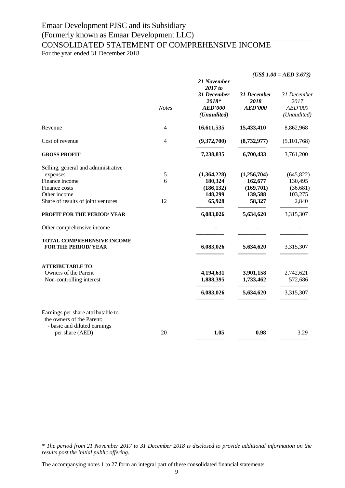# CONSOLIDATED STATEMENT OF COMPREHENSIVE INCOME

For the year ended 31 December 2018

|                                                                                                                    |                    | 21 November<br>2017 to                                | $(US$ 1.00 = AED 3.673)$              |                                               |  |
|--------------------------------------------------------------------------------------------------------------------|--------------------|-------------------------------------------------------|---------------------------------------|-----------------------------------------------|--|
|                                                                                                                    | <b>Notes</b>       | 31 December<br>2018*<br><b>AED'000</b><br>(Unaudited) | 31 December<br>2018<br><b>AED'000</b> | 31 December<br>2017<br>AED'000<br>(Unaudited) |  |
| Revenue                                                                                                            | $\overline{4}$     | 16,611,535                                            | 15,433,410                            | 8,862,968                                     |  |
| Cost of revenue                                                                                                    | 4                  | (9,372,700)                                           | (8,732,977)                           | (5,101,768)                                   |  |
| <b>GROSS PROFIT</b>                                                                                                |                    | 7,238,835                                             | 6,700,433                             | 3,761,200                                     |  |
| Selling, general and administrative<br>expenses<br>Finance income<br>Finance costs                                 | $\mathfrak s$<br>6 | (1,364,228)<br>180,324<br>(186, 132)                  | (1,256,704)<br>162,677<br>(169,701)   | (645, 822)<br>130,495<br>(36, 681)            |  |
| Other income<br>Share of results of joint ventures                                                                 | 12                 | 148,299<br>65,928                                     | 139,588<br>58,327                     | 103,275<br>2,840                              |  |
| PROFIT FOR THE PERIOD/YEAR                                                                                         |                    | 6,083,026                                             | 5,634,620                             | 3,315,307                                     |  |
| Other comprehensive income                                                                                         |                    |                                                       |                                       |                                               |  |
| <b>TOTAL COMPREHENSIVE INCOME</b><br><b>FOR THE PERIOD/YEAR</b>                                                    |                    | 6,083,026                                             | 5,634,620                             | 3,315,307                                     |  |
| <b>ATTRIBUTABLE TO:</b><br>Owners of the Parent<br>Non-controlling interest                                        |                    | 4,194,631<br>1,888,395                                | 3,901,158<br>1,733,462                | 2,742,621<br>572,686                          |  |
|                                                                                                                    |                    | 6,083,026                                             | 5,634,620                             | 3,315,307                                     |  |
| Earnings per share attributable to<br>the owners of the Parent:<br>- basic and diluted earnings<br>per share (AED) | 20                 | 1.05                                                  | 0.98                                  | 3.29                                          |  |
|                                                                                                                    |                    |                                                       |                                       |                                               |  |

*\* The period from 21 November 2017 to 31 December 2018 is disclosed to provide additional information on the results post the initial public offering.*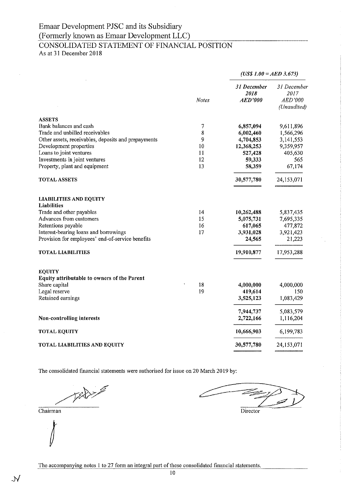## Emaar Development PJSC and its Subsidiary (Formerly known as Emaar Development LLC) CONSOLIDATED STATEMENT OF FINANCIAL POSITION

As at 31 December 2018

| $(USS I.00 = AED 3.673)$ |  |  |  |
|--------------------------|--|--|--|
|                          |  |  |  |

|                                                     | <b>Notes</b> | 31 December<br>2018<br><b>AED'000</b> | 31 December<br>2017<br>AED'000<br>(Unaudited) |
|-----------------------------------------------------|--------------|---------------------------------------|-----------------------------------------------|
| <b>ASSETS</b>                                       |              |                                       |                                               |
| Bank balances and cash                              | 7            | 6,857,094                             | 9,611,896                                     |
| Trade and unbilled receivables                      | 8            | 6,002,460                             | 1,566,296                                     |
| Other assets, receivables, deposits and prepayments | 9<br>10      | 4,704,853                             | 3,141,553                                     |
| Development properties<br>Loans to joint ventures   | 11           | 12,368,253                            | 9,359,957<br>405,630                          |
| Investments in joint ventures                       | 12           | 527,428<br>59,333                     | 565                                           |
| Property, plant and equipment                       | 13           | 58,359                                | 67,174                                        |
| <b>TOTAL ASSETS</b>                                 |              | 30,577,780                            | 24,153,071                                    |
| <b>LIABILITIES AND EQUITY</b>                       |              |                                       |                                               |
| <b>Liabilities</b>                                  |              |                                       |                                               |
| Trade and other payables<br>Advances from customers | 14<br>15     | 10,262,488                            | 5,837,435                                     |
| Retentions payable                                  | 16           | 5,075,731<br>617,065                  | 7,695,335<br>477,872                          |
| Interest-bearing loans and borrowings               | 17           | 3,931,028                             | 3,921,423                                     |
| Provision for employees' end-of-service benefits    |              | 24,565                                | 21,223                                        |
| <b>TOTAL LIABILITIES</b>                            |              | 19,910,877                            | 17,953,288                                    |
| <b>EQUITY</b>                                       |              |                                       |                                               |
| Equity attributable to owners of the Parent         |              |                                       |                                               |
| Share capital                                       | 18           | 4,000,000                             | 4,000,000                                     |
| Legal reserve                                       | 19           | 419,614                               | 150                                           |
| Retained earnings                                   |              | 3,525,123                             | 1,083,429                                     |
|                                                     |              | 7,944,737                             | 5,083,579                                     |
| Non-controlling interests                           |              | 2,722,166                             | 1,116,204                                     |
| <b>TOTAL EQUITY</b>                                 |              | 10,666,903                            | 6,199,783                                     |
| <b>TOTAL LIABILITIES AND EQUITY</b>                 |              | 30,577,780                            | 24,153,071                                    |

The consolidated financial statements were authorised for issue on 20 March 2019 by:

Today

 $\overline{\text{Chairman}}$ 

Director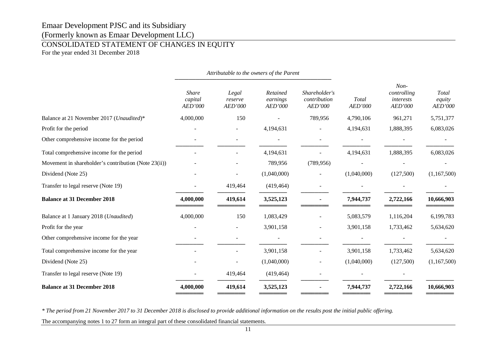## CONSOLIDATED STATEMENT OF CHANGES IN EQUITY

For the year ended 31 December 2018

|                                                      | Attributable to the owners of the Parent |                             |                                 |                                          |                  |                                               |                            |
|------------------------------------------------------|------------------------------------------|-----------------------------|---------------------------------|------------------------------------------|------------------|-----------------------------------------------|----------------------------|
|                                                      | <b>Share</b><br>capital<br>AED'000       | Legal<br>reserve<br>AED'000 | Retained<br>earnings<br>AED'000 | Shareholder's<br>contribution<br>AED'000 | Total<br>AED'000 | $Non-$<br>controlling<br>interests<br>AED'000 | Total<br>equity<br>AED'000 |
| Balance at 21 November 2017 (Unaudited)*             | 4,000,000                                | 150                         |                                 | 789,956                                  | 4,790,106        | 961,271                                       | 5,751,377                  |
| Profit for the period                                |                                          |                             | 4,194,631                       |                                          | 4,194,631        | 1,888,395                                     | 6,083,026                  |
| Other comprehensive income for the period            |                                          |                             |                                 |                                          |                  |                                               |                            |
| Total comprehensive income for the period            |                                          |                             | 4,194,631                       |                                          | 4,194,631        | 1,888,395                                     | 6,083,026                  |
| Movement in shareholder's contribution (Note 23(ii)) |                                          |                             | 789,956                         | (789, 956)                               |                  |                                               |                            |
| Dividend (Note 25)                                   |                                          |                             | (1,040,000)                     |                                          | (1,040,000)      | (127,500)                                     | (1,167,500)                |
| Transfer to legal reserve (Note 19)                  |                                          | 419,464                     | (419, 464)                      |                                          |                  |                                               |                            |
| <b>Balance at 31 December 2018</b>                   | 4,000,000                                | 419,614                     | 3,525,123                       |                                          | 7,944,737        | 2,722,166                                     | 10,666,903                 |
| Balance at 1 January 2018 (Unaudited)                | 4,000,000                                | 150                         | 1,083,429                       |                                          | 5,083,579        | 1,116,204                                     | 6,199,783                  |
| Profit for the year                                  |                                          |                             | 3,901,158                       |                                          | 3,901,158        | 1,733,462                                     | 5,634,620                  |
| Other comprehensive income for the year              |                                          |                             |                                 |                                          |                  |                                               |                            |
| Total comprehensive income for the year              |                                          |                             | 3,901,158                       |                                          | 3,901,158        | 1,733,462                                     | 5,634,620                  |
| Dividend (Note 25)                                   |                                          |                             | (1,040,000)                     |                                          | (1,040,000)      | (127,500)                                     | (1,167,500)                |
| Transfer to legal reserve (Note 19)                  |                                          | 419,464                     | (419, 464)                      |                                          |                  |                                               |                            |
| <b>Balance at 31 December 2018</b>                   | 4,000,000                                | 419,614                     | 3,525,123                       |                                          | 7,944,737        | 2,722,166                                     | 10,666,903                 |

*\* The period from 21 November 2017 to 31 December 2018 is disclosed to provide additional information on the results post the initial public offering.*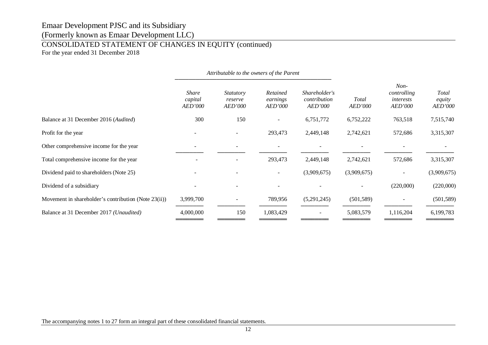## CONSOLIDATED STATEMENT OF CHANGES IN EQUITY (continued)

For the year ended 31 December 2018

|                                                      | Attributable to the owners of the Parent  |                                               |                                        |                                                 |                         |                                                      |                                          |
|------------------------------------------------------|-------------------------------------------|-----------------------------------------------|----------------------------------------|-------------------------------------------------|-------------------------|------------------------------------------------------|------------------------------------------|
|                                                      | <b>Share</b><br>capital<br><i>AED'000</i> | <i>Statutory</i><br>reserve<br><i>AED'000</i> | Retained<br>earnings<br><i>AED'000</i> | Shareholder's<br>contribution<br><i>AED'000</i> | Total<br><i>AED'000</i> | $Non-$<br>controlling<br>interests<br><b>AED'000</b> | <b>Total</b><br>equity<br><i>AED'000</i> |
| Balance at 31 December 2016 (Audited)                | 300                                       | 150                                           |                                        | 6,751,772                                       | 6,752,222               | 763,518                                              | 7,515,740                                |
| Profit for the year                                  |                                           |                                               | 293,473                                | 2,449,148                                       | 2,742,621               | 572,686                                              | 3,315,307                                |
| Other comprehensive income for the year              |                                           |                                               |                                        |                                                 |                         |                                                      |                                          |
| Total comprehensive income for the year              |                                           |                                               | 293,473                                | 2,449,148                                       | 2,742,621               | 572,686                                              | 3,315,307                                |
| Dividend paid to shareholders (Note 25)              |                                           |                                               |                                        | (3,909,675)                                     | (3,909,675)             | $\overline{\phantom{a}}$                             | (3,909,675)                              |
| Dividend of a subsidiary                             |                                           |                                               |                                        |                                                 |                         | (220,000)                                            | (220,000)                                |
| Movement in shareholder's contribution (Note 23(ii)) | 3,999,700                                 |                                               | 789,956                                | (5,291,245)                                     | (501, 589)              | $\overline{\phantom{a}}$                             | (501, 589)                               |
| Balance at 31 December 2017 (Unaudited)              | 4,000,000                                 | 150                                           | 1,083,429                              |                                                 | 5,083,579               | 1,116,204                                            | 6,199,783                                |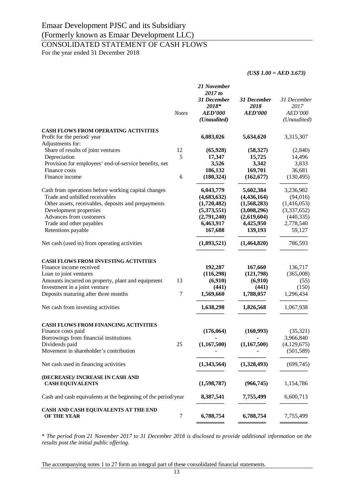## CONSOLIDATED STATEMENT OF CASH FLOWS

For the year ended 31 December 2018

*(US\$ 1.00 = AED 3.673)*

|                                                                           | <b>Notes</b> | 21 November<br>2017 to<br>31 December<br>2018*<br><b>AED'000</b><br>(Unaudited) | 31 December<br>2018<br><b>AED'000</b> | 31 December<br>2017<br>AED'000<br>(Unaudited) |
|---------------------------------------------------------------------------|--------------|---------------------------------------------------------------------------------|---------------------------------------|-----------------------------------------------|
| <b>CASH FLOWS FROM OPERATING ACTIVITIES</b><br>Profit for the period/year |              | 6,083,026                                                                       | 5,634,620                             | 3,315,307                                     |
| Adjustments for:                                                          |              |                                                                                 |                                       |                                               |
| Share of results of joint ventures                                        | 12           | (65, 928)                                                                       | (58, 327)                             | (2,840)                                       |
| Depreciation                                                              | 5            | 17,347                                                                          | 15,725                                | 14,496                                        |
| Provision for employees' end-of-service benefits, net                     |              | 3,526                                                                           | 3,342                                 | 3,833                                         |
| Finance costs<br>Finance income                                           | 6            | 186,132<br>(180, 324)                                                           | 169,701<br>(162, 677)                 | 36,681<br>(130, 495)                          |
| Cash from operations before working capital changes                       |              | 6,043,779                                                                       | 5,602,384                             | 3,236,982                                     |
| Trade and unbilled receivables                                            |              | (4,683,632)                                                                     | (4,436,164)                           | (94,016)                                      |
| Other assets, receivables, deposits and prepayments                       |              | (1,720,482)                                                                     | (1,568,283)                           | (1,416,053)                                   |
| Development properties                                                    |              | (5,373,551)                                                                     | (3,008,296)                           | (3,337,652)                                   |
| Advances from customers                                                   |              | (2,791,240)                                                                     | (2,619,604)                           | (440, 335)                                    |
| Trade and other payables                                                  |              | 6,463,917                                                                       | 4,425,950                             | 2,778,540                                     |
| Retentions payable                                                        |              | 167,688                                                                         | 139,193                               | 59,127                                        |
| Net cash (used in) from operating activities                              |              | (1,893,521)                                                                     | (1,464,820)                           | 786,593                                       |
| <b>CASH FLOWS FROM INVESTING ACTIVITIES</b>                               |              |                                                                                 |                                       |                                               |
| Finance income received                                                   |              | 192,287                                                                         | 167,660                               | 136,717                                       |
| Loan to joint ventures                                                    |              | (116,298)                                                                       | (121,798)                             | (365,008)                                     |
| Amounts incurred on property, plant and equipment                         | 13           | (6,910)                                                                         | (6,910)                               | (55)                                          |
| Investment in a joint venture                                             |              | (441)                                                                           | (441)                                 | (150)                                         |
| Deposits maturing after three months                                      | 7            | 1,569,660                                                                       | 1,788,057                             | 1,296,434                                     |
| Net cash from investing activities                                        |              | 1,638,298                                                                       | 1,826,568                             | 1,067,938                                     |
| CASH FLOWS FROM FINANCING ACTIVITIES                                      |              |                                                                                 |                                       |                                               |
| Finance costs paid                                                        |              | (176, 064)                                                                      | (160, 993)                            | (35, 321)                                     |
| Borrowings from financial institutions                                    |              |                                                                                 |                                       | 3,966,840                                     |
| Dividends paid                                                            | 25           | (1,167,500)                                                                     | (1,167,500)                           | (4, 129, 675)                                 |
| Movement in shareholder's contribution                                    |              |                                                                                 |                                       | (501, 589)                                    |
| Net cash used in financing activities                                     |              | (1,343,564)                                                                     | (1,328,493)                           | (699, 745)                                    |
| (DECREASE)/ INCREASE IN CASH AND<br><b>CASH EQUIVALENTS</b>               |              | (1,598,787)                                                                     | (966, 745)                            | 1,154,786                                     |
| Cash and cash equivalents at the beginning of the period/year             |              | 8,387,541                                                                       | 7,755,499                             | 6,600,713                                     |
| CASH AND CASH EQUIVALENTS AT THE END                                      |              |                                                                                 |                                       |                                               |
| OF THE YEAR                                                               | 7            | 6,788,754                                                                       | 6,788,754                             | 7,755,499                                     |

\* *The period from 21 November 2017 to 31 December 2018 is disclosed to provide additional information on the results post the initial public offering.*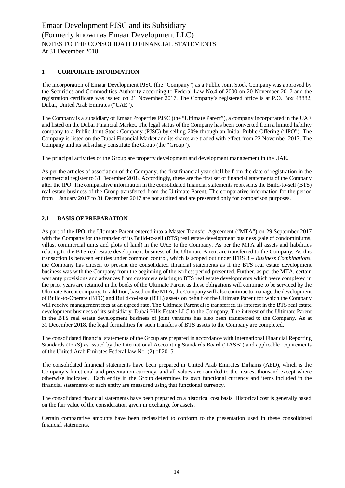## **1 CORPORATE INFORMATION**

The incorporation of Emaar Development PJSC (the "Company") as a Public Joint Stock Company was approved by the Securities and Commodities Authority according to Federal Law No.4 of 2000 on 20 November 2017 and the registration certificate was issued on 21 November 2017. The Company's registered office is at P.O. Box 48882, Dubai, United Arab Emirates ("UAE").

The Company is a subsidiary of Emaar Properties PJSC (the "Ultimate Parent"), a company incorporated in the UAE and listed on the Dubai Financial Market. The legal status of the Company has been converted from a limited liability company to a Public Joint Stock Company (PJSC) by selling 20% through an Initial Public Offering ("IPO"). The Company is listed on the Dubai Financial Market and its shares are traded with effect from 22 November 2017. The Company and its subsidiary constitute the Group (the "Group").

The principal activities of the Group are property development and development management in the UAE.

As per the articles of association of the Company, the first financial year shall be from the date of registration in the commercial register to 31 December 2018. Accordingly, these are the first set of financial statements of the Company after the IPO. The comparative information in the consolidated financial statements represents the Build-to-sell (BTS) real estate business of the Group transferred from the Ultimate Parent. The comparative information for the period from 1 January 2017 to 31 December 2017 are not audited and are presented only for comparison purposes.

## **2.1 BASIS OF PREPARATION**

As part of the IPO, the Ultimate Parent entered into a Master Transfer Agreement ("MTA") on 29 September 2017 with the Company for the transfer of its Build-to-sell (BTS) real estate development business (sale of condominiums, villas, commercial units and plots of land) in the UAE to the Company. As per the MTA all assets and liabilities relating to the BTS real estate development business of the Ultimate Parent are transferred to the Company. As this transaction is between entities under common control, which is scoped out under IFRS 3 – *Business Combinations*, the Company has chosen to present the consolidated financial statements as if the BTS real estate development business was with the Company from the beginning of the earliest period presented. Further, as per the MTA, certain warranty provisions and advances from customers relating to BTS real estate developments which were completed in the prior years are retained in the books of the Ultimate Parent as these obligations will continue to be serviced by the Ultimate Parent company. In addition, based on the MTA, the Company will also continue to manage the development of Build-to-Operate (BTO) and Build-to-lease (BTL) assets on behalf of the Ultimate Parent for which the Company will receive management fees at an agreed rate. The Ultimate Parent also transferred its interest in the BTS real estate development business of its subsidiary, Dubai Hills Estate LLC to the Company. The interest of the Ultimate Parent in the BTS real estate development business of joint ventures has also been transferred to the Company. As at 31 December 2018, the legal formalities for such transfers of BTS assets to the Company are completed.

The consolidated financial statements of the Group are prepared in accordance with International Financial Reporting Standards (IFRS) as issued by the International Accounting Standards Board ("IASB") and applicable requirements of the United Arab Emirates Federal law No. (2) of 2015.

The consolidated financial statements have been prepared in United Arab Emirates Dirhams (AED), which is the Company's functional and presentation currency, and all values are rounded to the nearest thousand except where otherwise indicated. Each entity in the Group determines its own functional currency and items included in the financial statements of each entity are measured using that functional currency.

The consolidated financial statements have been prepared on a historical cost basis. Historical cost is generally based on the fair value of the consideration given in exchange for assets.

Certain comparative amounts have been reclassified to conform to the presentation used in these consolidated financial statements.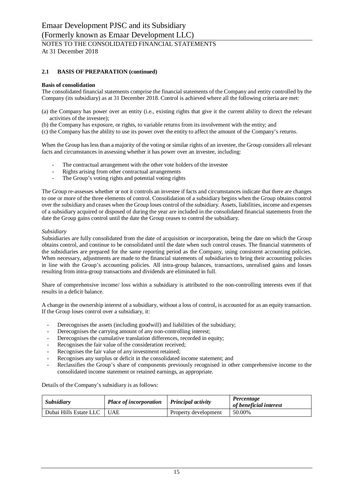## **2.1 BASIS OF PREPARATION (continued)**

#### **Basis of consolidation**

The consolidated financial statements comprise the financial statements of the Company and entity controlled by the Company (its subsidiary) as at 31 December 2018. Control is achieved where all the following criteria are met:

- (a) the Company has power over an entity (i.e., existing rights that give it the current ability to direct the relevant activities of the investee);
- (b) the Company has exposure, or rights, to variable returns from its involvement with the entity; and
- (c) the Company has the ability to use its power over the entity to affect the amount of the Company's returns.

When the Group has less than a majority of the voting or similar rights of an investee, the Group considers all relevant facts and circumstances in assessing whether it has power over an investee, including:

- The contractual arrangement with the other vote holders of the investee
- Rights arising from other contractual arrangements
- The Group's voting rights and potential voting rights

The Group re-assesses whether or not it controls an investee if facts and circumstances indicate that there are changes to one or more of the three elements of control. Consolidation of a subsidiary begins when the Group obtains control over the subsidiary and ceases when the Group loses control of the subsidiary. Assets, liabilities, income and expenses of a subsidiary acquired or disposed of during the year are included in the consolidated financial statements from the date the Group gains control until the date the Group ceases to control the subsidiary.

#### *Subsidiary*

Subsidiaries are fully consolidated from the date of acquisition or incorporation, being the date on which the Group obtains control, and continue to be consolidated until the date when such control ceases. The financial statements of the subsidiaries are prepared for the same reporting period as the Company, using consistent accounting policies. When necessary, adjustments are made to the financial statements of subsidiaries to bring their accounting policies in line with the Group's accounting policies. All intra-group balances, transactions, unrealised gains and losses resulting from intra-group transactions and dividends are eliminated in full.

Share of comprehensive income/ loss within a subsidiary is attributed to the non-controlling interests even if that results in a deficit balance.

A change in the ownership interest of a subsidiary, without a loss of control, is accounted for as an equity transaction. If the Group loses control over a subsidiary, it:

- Derecognises the assets (including goodwill) and liabilities of the subsidiary;
- Derecognises the carrying amount of any non-controlling interest;
- Derecognises the cumulative translation differences, recorded in equity;
- Recognises the fair value of the consideration received;
- Recognises the fair value of any investment retained;
- Recognises any surplus or deficit in the consolidated income statement; and
- Reclassifies the Group's share of components previously recognised in other comprehensive income to the consolidated income statement or retained earnings, as appropriate.

Details of the Company's subsidiary is as follows:

| Subsidiary                   | Place of incorporation   Principal activity |                      | Percentage<br>of beneficial interest |
|------------------------------|---------------------------------------------|----------------------|--------------------------------------|
| Dubai Hills Estate LLC   UAE |                                             | Property development | 50.00%                               |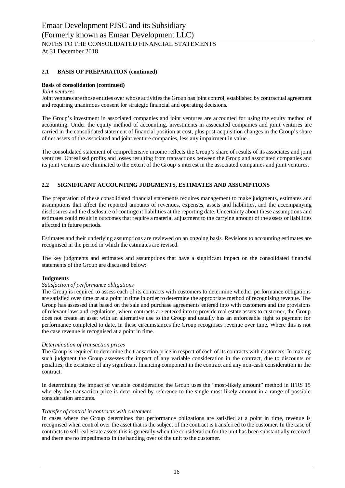## **2.1 BASIS OF PREPARATION (continued)**

### **Basis of consolidation (continued)**

#### *Joint ventures*

Joint ventures are those entities over whose activities the Group has joint control, established by contractual agreement and requiring unanimous consent for strategic financial and operating decisions.

The Group's investment in associated companies and joint ventures are accounted for using the equity method of accounting. Under the equity method of accounting, investments in associated companies and joint ventures are carried in the consolidated statement of financial position at cost, plus post-acquisition changes in the Group's share of net assets of the associated and joint venture companies, less any impairment in value.

The consolidated statement of comprehensive income reflects the Group's share of results of its associates and joint ventures. Unrealised profits and losses resulting from transactions between the Group and associated companies and its joint ventures are eliminated to the extent of the Group's interest in the associated companies and joint ventures.

## **2.2 SIGNIFICANT ACCOUNTING JUDGMENTS, ESTIMATES AND ASSUMPTIONS**

The preparation of these consolidated financial statements requires management to make judgments, estimates and assumptions that affect the reported amounts of revenues, expenses, assets and liabilities, and the accompanying disclosures and the disclosure of contingent liabilities at the reporting date. Uncertainty about these assumptions and estimates could result in outcomes that require a material adjustment to the carrying amount of the assets or liabilities affected in future periods.

Estimates and their underlying assumptions are reviewed on an ongoing basis. Revisions to accounting estimates are recognised in the period in which the estimates are revised.

The key judgments and estimates and assumptions that have a significant impact on the consolidated financial statements of the Group are discussed below:

#### **Judgments**

#### *Satisfaction of performance obligations*

The Group is required to assess each of its contracts with customers to determine whether performance obligations are satisfied over time or at a point in time in order to determine the appropriate method of recognising revenue. The Group has assessed that based on the sale and purchase agreements entered into with customers and the provisions of relevant laws and regulations, where contracts are entered into to provide real estate assets to customer, the Group does not create an asset with an alternative use to the Group and usually has an enforceable right to payment for performance completed to date. In these circumstances the Group recognises revenue over time. Where this is not the case revenue is recognised at a point in time.

### *Determination of transaction prices*

The Group is required to determine the transaction price in respect of each of its contracts with customers. In making such judgment the Group assesses the impact of any variable consideration in the contract, due to discounts or penalties, the existence of any significant financing component in the contract and any non-cash consideration in the contract.

In determining the impact of variable consideration the Group uses the "most-likely amount" method in IFRS 15 whereby the transaction price is determined by reference to the single most likely amount in a range of possible consideration amounts.

#### *Transfer of control in contracts with customers*

In cases where the Group determines that performance obligations are satisfied at a point in time, revenue is recognised when control over the asset that is the subject of the contract is transferred to the customer. In the case of contracts to sell real estate assets this is generally when the consideration for the unit has been substantially received and there are no impediments in the handing over of the unit to the customer.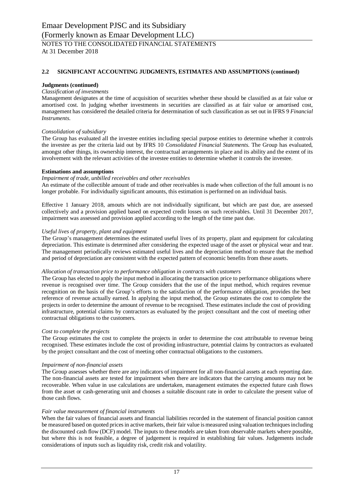## **2.2 SIGNIFICANT ACCOUNTING JUDGMENTS, ESTIMATES AND ASSUMPTIONS (continued)**

#### **Judgments (continued)**

#### *Classification of investments*

Management designates at the time of acquisition of securities whether these should be classified as at fair value or amortised cost. In judging whether investments in securities are classified as at fair value or amortised cost, management has considered the detailed criteria for determination of such classification as set out in IFRS 9 *Financial Instruments*.

#### *Consolidation of subsidiary*

The Group has evaluated all the investee entities including special purpose entities to determine whether it controls the investee as per the criteria laid out by IFRS 10 *Consolidated Financial Statements*. The Group has evaluated, amongst other things, its ownership interest, the contractual arrangements in place and its ability and the extent of its involvement with the relevant activities of the investee entities to determine whether it controls the investee.

#### **Estimations and assumptions**

#### *Impairment of trade, unbilled receivables and other receivables*

An estimate of the collectible amount of trade and other receivables is made when collection of the full amount is no longer probable. For individually significant amounts, this estimation is performed on an individual basis.

Effective 1 January 2018, amouts which are not individually significant, but which are past due, are assessed collectively and a provision applied based on expected credit losses on such receivables. Until 31 December 2017, impairment was assessed and provision applied according to the length of the time past due.

#### *Useful lives of property, plant and equipment*

The Group's management determines the estimated useful lives of its property, plant and equipment for calculating depreciation. This estimate is determined after considering the expected usage of the asset or physical wear and tear. The management periodically reviews estimated useful lives and the depreciation method to ensure that the method and period of depreciation are consistent with the expected pattern of economic benefits from these assets.

#### *Allocation of transaction price to performance obligation in contracts with customers*

The Group has elected to apply the input method in allocating the transaction price to performance obligations where revenue is recognised over time. The Group considers that the use of the input method, which requires revenue recognition on the basis of the Group's efforts to the satisfaction of the performance obligation, provides the best reference of revenue actually earned. In applying the input method, the Group estimates the cost to complete the projects in order to determine the amount of revenue to be recognised. These estimates include the cost of providing infrastructure, potential claims by contractors as evaluated by the project consultant and the cost of meeting other contractual obligations to the customers.

#### *Cost to complete the projects*

The Group estimates the cost to complete the projects in order to determine the cost attributable to revenue being recognised. These estimates include the cost of providing infrastructure, potential claims by contractors as evaluated by the project consultant and the cost of meeting other contractual obligations to the customers.

#### *Impairment of non-financial assets*

The Group assesses whether there are any indicators of impairment for all non-financial assets at each reporting date. The non-financial assets are tested for impairment when there are indicators that the carrying amounts may not be recoverable. When value in use calculations are undertaken, management estimates the expected future cash flows from the asset or cash-generating unit and chooses a suitable discount rate in order to calculate the present value of those cash flows.

#### *Fair value measurement of financial instruments*

When the fair values of financial assets and financial liabilities recorded in the statement of financial position cannot be measured based on quoted prices in active markets, their fair value is measured using valuation techniques including the discounted cash flow (DCF) model. The inputs to these models are taken from observable markets where possible, but where this is not feasible, a degree of judgement is required in establishing fair values. Judgements include considerations of inputs such as liquidity risk, credit risk and volatility.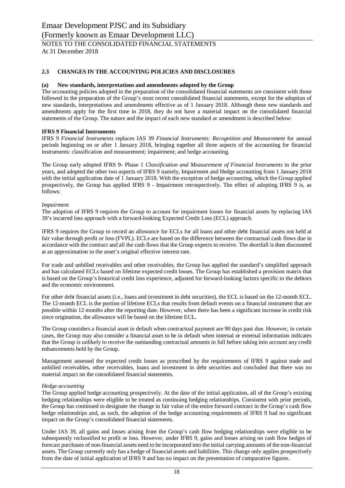At 31 December 2018

## **2.3 CHANGES IN THE ACCOUNTING POLICIES AND DISCLOSURES**

#### **(a) New standards, interpretations and amendments adopted by the Group**

The accounting policies adopted in the preparation of the consolidated financial statements are consistent with those followed in the preparation of the Group's most recent consolidated financial statements, except for the adoption of new standards, interpretations and amendments effective as of 1 January 2018. Although these new standards and amendments apply for the first time in 2018, they do not have a material impact on the consolidated financial statements of the Group. The nature and the impact of each new standard or amendment is described below:

#### **IFRS 9 Financial Instruments**

IFRS 9 *Financial Instruments* replaces IAS 39 *Financial Instruments: Recognition and Measurement* for annual periods beginning on or after 1 January 2018, bringing together all three aspects of the accounting for financial instruments: classification and measurement; impairment; and hedge accounting.

The Group early adopted IFRS 9- Phase 1 *Classification and Measurement of Financial Instruments* in the prior years, and adopted the other two aspects of IFRS 9 namely, Impairment and Hedge accounting from 1 January 2018 with the initial application date of 1 January 2018. With the exception of hedge accounting, which the Group applied prospectively, the Group has applied IFRS 9 - Impairment retrospectively. The effect of adopting IFRS 9 is, as follows:

#### *Impairment*

The adoption of IFRS 9 requires the Group to account for impairment losses for financial assets by replacing IAS 39's incurred loss approach with a forward-looking Expected Credit Loss (ECL) approach.

IFRS 9 requires the Group to record an allowance for ECLs for all loans and other debt financial assets not held at fair value through profit or loss (FVPL). ECLs are based on the difference between the contractual cash flows due in accordance with the contract and all the cash flows that the Group expects to receive. The shortfall is then discounted at an approximation to the asset's original effective interest rate.

For trade and unbilled receivables and other receivables, the Group has applied the standard's simplified approach and has calculated ECLs based on lifetime expected credit losses. The Group has established a provision matrix that is based on the Group's historical credit loss experience, adjusted for forward-looking factors specific to the debtors and the economic environment.

For other debt financial assets (i.e., loans and investment in debt securities), the ECL is based on the 12-month ECL. The 12-month ECL is the portion of lifetime ECLs that results from default events on a financial instrument that are possible within 12 months after the reporting date. However, when there has been a significant increase in credit risk since origination, the allowance will be based on the lifetime ECL.

The Group considers a financial asset in default when contractual payment are 90 days past due. However, in certain cases, the Group may also consider a financial asset to be in default when internal or external information indicates that the Group is unlikely to receive the outstanding contractual amounts in full before taking into account any credit enhancements held by the Group.

Management assessed the expected credit losses as prescribed by the requirements of IFRS 9 against trade and unbilled receivables, other receivables, loans and investment in debt securities and concluded that there was no material impact on the consolidated financial statements.

#### *Hedge accounting*

The Group applied hedge accounting prospectively. At the date of the initial application, all of the Group's existing hedging relationships were eligible to be treated as continuing hedging relationships. Consistent with prior periods, the Group has continued to designate the change in fair value of the entire forward contract in the Group's cash flow hedge relationships and, as such, the adoption of the hedge accounting requirements of IFRS 9 had no significant impact on the Group's consolidated financial statements.

Under IAS 39, all gains and losses arising from the Group's cash flow hedging relationships were eligible to be subsequently reclassified to profit or loss. However, under IFRS 9, gains and losses arising on cash flow hedges of forecast purchases of non-financial assets need to be incorporated into the initial carrying amounts of the non-financial assets. The Group currently only has a hedge of financial assets and liabilities. This change only applies prospectively from the date of initial application of IFRS 9 and has no impact on the presentation of comparative figures.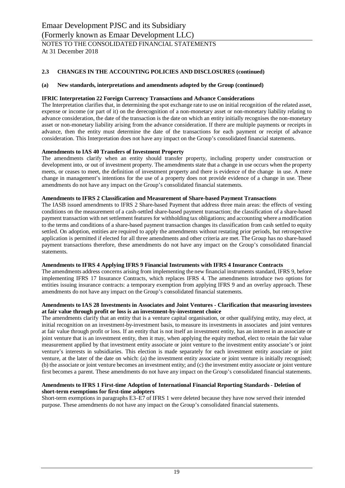## **2.3 CHANGES IN THE ACCOUNTING POLICIES AND DISCLOSURES (continued)**

### **(a) New standards, interpretations and amendments adopted by the Group (continued)**

### **IFRIC Interpretation 22 Foreign Currency Transactions and Advance Considerations**

The Interpretation clarifies that, in determining the spot exchange rate to use on initial recognition of the related asset, expense or income (or part of it) on the derecognition of a non-monetary asset or non-monetary liability relating to advance consideration, the date of the transaction is the date on which an entity initially recognises the non-monetary asset or non-monetary liability arising from the advance consideration. If there are multiple payments or receipts in advance, then the entity must determine the date of the transactions for each payment or receipt of advance consideration. This Interpretation does not have any impact on the Group's consolidated financial statements.

#### **Amendments to IAS 40 Transfers of Investment Property**

The amendments clarify when an entity should transfer property, including property under construction or development into, or out of investment property. The amendments state that a change in use occurs when the property meets, or ceases to meet, the definition of investment property and there is evidence of the change in use. A mere change in management's intentions for the use of a property does not provide evidence of a change in use. These amendments do not have any impact on the Group's consolidated financial statements.

#### **Amendments to IFRS 2 Classification and Measurement of Share-based Payment Transactions**

The IASB issued amendments to IFRS 2 Share-based Payment that address three main areas: the effects of vesting conditions on the measurement of a cash-settled share-based payment transaction; the classification of a share-based payment transaction with net settlement features for withholding tax obligations; and accounting where a modification to the terms and conditions of a share-based payment transaction changes its classification from cash settled to equity settled. On adoption, entities are required to apply the amendments without restating prior periods, but retrospective application is permitted if elected for all three amendments and other criteria are met. The Group has no share-based payment transactions therefore, these amendments do not have any impact on the Group's consolidated financial statements.

#### **Amendments to IFRS 4 Applying IFRS 9 Financial Instruments with IFRS 4 Insurance Contracts**

The amendments address concerns arising from implementing the new financial instruments standard, IFRS 9, before implementing IFRS 17 Insurance Contracts, which replaces IFRS 4. The amendments introduce two options for entities issuing insurance contracts: a temporary exemption from applying IFRS 9 and an overlay approach. These amendments do not have any impact on the Group's consolidated financial statements.

#### **Amendments to IAS 28 Investments in Associates and Joint Ventures - Clarification that measuring investees at fair value through profit or loss is an investment-by-investment choice**

The amendments clarify that an entity that is a venture capital organisation, or other qualifying entity, may elect, at initial recognition on an investment-by-investment basis, to measure its investments in associates and joint ventures at fair value through profit or loss. If an entity that is not itself an investment entity, has an interest in an associate or joint venture that is an investment entity, then it may, when applying the equity method, elect to retain the fair value measurement applied by that investment entity associate or joint venture to the investment entity associate's or joint venture's interests in subsidiaries. This election is made separately for each investment entity associate or joint venture, at the later of the date on which: (a) the investment entity associate or joint venture is initially recognised; (b) the associate or joint venture becomes an investment entity; and (c) the investment entity associate or joint venture first becomes a parent. These amendments do not have any impact on the Group's consolidated financial statements.

#### **Amendments to IFRS 1 First-time Adoption of International Financial Reporting Standards - Deletion of short-term exemptions for first-time adopters**

Short-term exemptions in paragraphs E3–E7 of IFRS 1 were deleted because they have now served their intended purpose. These amendments do not have any impact on the Group's consolidated financial statements.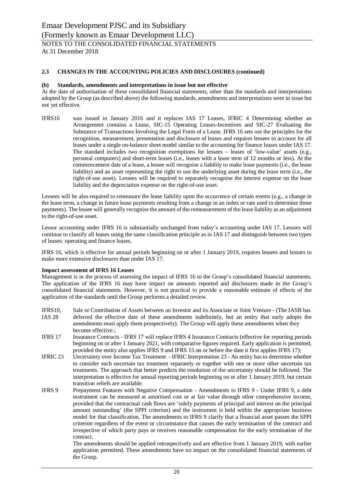At 31 December 2018

## **2.3 CHANGES IN THE ACCOUNTING POLICIES AND DISCLOSURES (continued)**

#### **(b) Standards, amendments and interpretations in issue but not effective**

At the date of authorisation of these consolidated financial statements, other than the standards and interpretations adopted by the Group (as described above) the following standards, amendments and interpretations were in issue but not yet effective.

IFRS16 was issued in January 2016 and it replaces IAS 17 Leases, IFRIC 4 Determining whether an Arrangement contains a Lease, SIC-15 Operating Leases-Incentives and SIC-27 Evaluating the Substance of Transactions Involving the Legal Form of a Lease. IFRS 16 sets out the principles for the recognition, measurement, presentation and disclosure of leases and requires lessees to account for all leases under a single on-balance sheet model similar to the accounting for finance leases under IAS 17. The standard includes two recognition exemptions for lessees – leases of 'low-value' assets (e.g., personal computers) and short-term leases (i.e., leases with a lease term of 12 months or less). At the commencement date of a lease, a lessee will recognise a liability to make lease payments (i.e., the lease liability) and an asset representing the right to use the underlying asset during the lease term (i.e., the right-of-use asset). Lessees will be required to separately recognise the interest expense on the lease liability and the depreciation expense on the right-of-use asset.

Lessees will be also required to remeasure the lease liability upon the occurrence of certain events (e.g., a change in the lease term, a change in future lease payments resulting from a change in an index or rate used to determine those payments). The lessee will generally recognise the amount of the remeasurement of the lease liability as an adjustment to the right-of-use asset.

Lessor accounting under IFRS 16 is substantially unchanged from today's accounting under IAS 17. Lessors will continue to classify all leases using the same classification principle as in IAS 17 and distinguish between two types of leases: operating and finance leases.

IFRS 16, which is effective for annual periods beginning on or after 1 January 2019, requires lessees and lessors to make more extensive disclosures than under IAS 17.

#### **Impact assessment of IFRS 16 Leases**

Management is in the process of assessing the impact of IFRS 16 to the Group's consolidated financial statements. The application of the IFRS 16 may have impact on amounts reported and disclosures made in the Group's consolidated financial statements. However, it is not practical to provide a reasonable estimate of effects of the application of the standards until the Group performs a detailed review.

- IFRS10, Sale or Contribution of Assets between an Investor and its Associate or Joint Venture (The IASB has IAS 28 deferred the effective date of these amendments indefinitely, but an entity that early adopts the amendments must apply them prospectively). The Group will apply these amendments when they become effective.;
- IFRS 17 Insurance Contracts IFRS 17 will replace IFRS 4 Insurance Contracts (effective for reporting periods beginning on or after 1 January 2021, with comparative figures required. Early application is permitted, provided the entity also applies IFRS 9 and IFRS 15 on or before the date it first applies IFRS 17);
- IFRIC 23 Uncertainty over Income Tax Treatment IFRIC Interpretation 23 An entity has to determine whether to consider each uncertain tax treatment separately or together with one or more other uncertain tax treatments. The approach that better predicts the resolution of the uncertainty should be followed. The interpretation is effective for annual reporting periods beginning on or after 1 January 2019, but certain transition reliefs are available.
- IFRS 9 Prepayment Features with Negative Compensation Amendments to IFRS 9 Under IFRS 9, a debt instrument can be measured at amortised cost or at fair value through other comprehensive income, provided that the contractual cash flows are 'solely payments of principal and interest on the principal amount outstanding' (the SPPI criterion) and the instrument is held within the appropriate business model for that classification. The amendments to IFRS 9 clarify that a financial asset passes the SPPI criterion regardless of the event or circumstance that causes the early termination of the contract and irrespective of which party pays or receives reasonable compensation for the early termination of the contract.

The amendments should be applied retrospectively and are effective from 1 January 2019, with earlier application permitted. These amendments have no impact on the consolidated financial statements of the Group.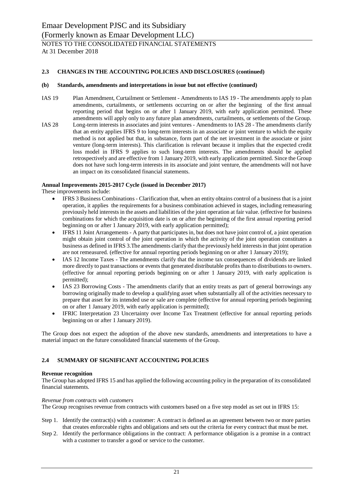## **2.3 CHANGES IN THE ACCOUNTING POLICIES AND DISCLOSURES (continued)**

## **(b) Standards, amendments and interpretations in issue but not effective (continued)**

IAS 19 Plan Amendment, Curtailment or Settlement - Amendments to IAS 19 - The amendments apply to plan amendments, curtailments, or settlements occurring on or after the beginning of the first annual reporting period that begins on or after 1 January 2019, with early application permitted. These amendments will apply only to any future plan amendments, curtailments, or settlements of the Group. IAS 28 Long-term interests in associates and joint ventures - Amendments to IAS 28 - The amendments clarify that an entity applies IFRS 9 to long-term interests in an associate or joint venture to which the equity method is not applied but that, in substance, form part of the net investment in the associate or joint venture (long-term interests). This clarification is relevant because it implies that the expected credit loss model in IFRS 9 applies to such long-term interests. The amendments should be applied retrospectively and are effective from 1 January 2019, with early application permitted. Since the Group does not have such long-term interests in its associate and joint venture, the amendments will not have an impact on its consolidated financial statements.

#### **Annual Improvements 2015-2017 Cycle (issued in December 2017)**

These improvements include:

- · IFRS 3 Business Combinations Clarification that, when an entity obtains control of a business that is a joint operation, it applies the requirements for a business combination achieved in stages, including remeasuring previously held interests in the assets and liabilities of the joint operation at fair value. (effective for business combinations for which the acquisition date is on or after the beginning of the first annual reporting period beginning on or after 1 January 2019, with early application permitted);
- · IFRS 11 Joint Arrangements A party that participates in, but does not have joint control of, a joint operation might obtain joint control of the joint operation in which the activity of the joint operation constitutes a business as defined in IFRS 3.The amendments clarify that the previously held interests in that joint operation are not remeasured. (effective for annual reporting periods beginning on or after 1 January 2019);
- IAS 12 Income Taxes The amendments clarify that the income tax consequences of dividends are linked more directly to past transactions or events that generated distributable profits than to distributions to owners. (effective for annual reporting periods beginning on or after 1 January 2019, with early application is permitted);
- IAS 23 Borrowing Costs The amendments clarify that an entity treats as part of general borrowings any borrowing originally made to develop a qualifying asset when substantially all of the activities necessary to prepare that asset for its intended use or sale are complete (effective for annual reporting periods beginning on or after 1 January 2019, with early application is permitted);
- · IFRIC Interpretation 23 Uncertainty over Income Tax Treatment (effective for annual reporting periods beginning on or after 1 January 2019).

The Group does not expect the adoption of the above new standards, amendments and interpretations to have a material impact on the future consolidated financial statements of the Group.

## **2.4 SUMMARY OF SIGNIFICANT ACCOUNTING POLICIES**

#### **Revenue recognition**

The Group has adopted IFRS 15 and has applied the following accounting policy in the preparation of its consolidated financial statements.

#### *Revenue from contracts with customers*

The Group recognises revenue from contracts with customers based on a five step model as set out in IFRS 15:

- Step 1. Identify the contract(s) with a customer: A contract is defined as an agreement between two or more parties that creates enforceable rights and obligations and sets out the criteria for every contract that must be met.
- Step 2. Identify the performance obligations in the contract: A performance obligation is a promise in a contract with a customer to transfer a good or service to the customer.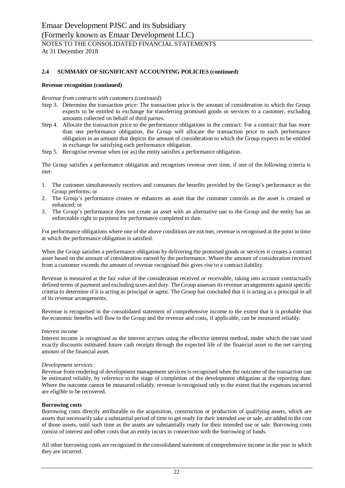#### **Revenue recognition (continued)**

#### *Revenue from contracts with customers (continued)*

- Step 3. Determine the transaction price: The transaction price is the amount of consideration to which the Group expects to be entitled in exchange for transferring promised goods or services to a customer, excluding amounts collected on behalf of third parties.
- Step 4. Allocate the transaction price to the performance obligations in the contract: For a contract that has more than one performance obligation, the Group will allocate the transaction price to each performance obligation in an amount that depicts the amount of consideration to which the Group expects to be entitled in exchange for satisfying each performance obligation.
- Step 5. Recognise revenue when (or as) the entity satisfies a performance obligation.

The Group satisfies a performance obligation and recognises revenue over time, if one of the following criteria is met:

- 1. The customer simultaneously receives and consumes the benefits provided by the Group's performance as the Group performs; or
- 2. The Group's performance creates or enhances an asset that the customer controls as the asset is created or enhanced; or
- 3. The Group's performance does not create an asset with an alternative use to the Group and the entity has an enforceable right to payment for performance completed to date.

For performance obligations where one of the above conditions are not met, revenue is recognised at the point in time at which the performance obligation is satisfied.

When the Group satisfies a performance obligation by delivering the promised goods or services it creates a contract asset based on the amount of consideration earned by the performance. Where the amount of consideration received from a customer exceeds the amount of revenue recognised this gives rise to a contract liability.

Revenue is measured at the fair value of the consideration received or receivable, taking into account contractually defined terms of payment and excluding taxes and duty. The Group assesses its revenue arrangements against specific criteria to determine if it is acting as principal or agent. The Group has concluded that it is acting as a principal in all of its revenue arrangements.

Revenue is recognised in the consolidated statement of comprehensive income to the extent that it is probable that the economic benefits will flow to the Group and the revenue and costs, if applicable, can be measured reliably.

#### *Interest income*

Interest income is recognised as the interest accrues using the effective interest method, under which the rate used exactly discounts estimated future cash receipts through the expected life of the financial asset to the net carrying amount of the financial asset.

#### *Development services*

Revenue from rendering of development management services is recognised when the outcome of the transaction can be estimated reliably, by reference to the stage of completion of the development obligation at the reporting date. Where the outcome cannot be measured reliably, revenue is recognised only to the extent that the expenses incurred are eligible to be recovered.

#### **Borrowing costs**

Borrowing costs directly attributable to the acquisition, construction or production of qualifying assets, which are assets that necessarily take a substantial period of time to get ready for their intended use or sale, are added to the cost of those assets, until such time as the assets are substantially ready for their intended use or sale. Borrowing costs consist of interest and other costs that an entity incurs in connection with the borrowing of funds.

All other borrowing costs are recognised in the consolidated statement of comprehensive income in the year in which they are incurred.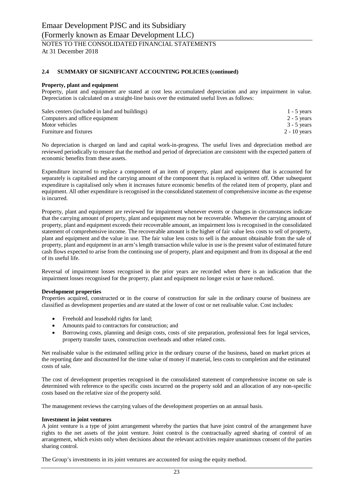#### **Property, plant and equipment**

Property, plant and equipment are stated at cost less accumulated depreciation and any impairment in value. Depreciation is calculated on a straight-line basis over the estimated useful lives as follows:

| Sales centers (included in land and buildings) | $1 - 5$ years  |
|------------------------------------------------|----------------|
| Computers and office equipment                 | $2 - 5$ years  |
| Motor vehicles                                 | $3 - 5$ years  |
| Furniture and fixtures                         | $2 - 10$ years |

No depreciation is charged on land and capital work-in-progress. The useful lives and depreciation method are reviewed periodically to ensure that the method and period of depreciation are consistent with the expected pattern of economic benefits from these assets.

Expenditure incurred to replace a component of an item of property, plant and equipment that is accounted for separately is capitalised and the carrying amount of the component that is replaced is written off. Other subsequent expenditure is capitalised only when it increases future economic benefits of the related item of property, plant and equipment. All other expenditure is recognised in the consolidated statement of comprehensive income as the expense is incurred.

Property, plant and equipment are reviewed for impairment whenever events or changes in circumstances indicate that the carrying amount of property, plant and equipment may not be recoverable. Whenever the carrying amount of property, plant and equipment exceeds their recoverable amount, an impairment loss is recognised in the consolidated statement of comprehensive income. The recoverable amount is the higher of fair value less costs to sell of property, plant and equipment and the value in use. The fair value less costs to sell is the amount obtainable from the sale of property, plant and equipment in an arm's length transaction while value in use is the present value of estimated future cash flows expected to arise from the continuing use of property, plant and equipment and from its disposal at the end of its useful life.

Reversal of impairment losses recognised in the prior years are recorded when there is an indication that the impairment losses recognised for the property, plant and equipment no longer exist or have reduced.

#### **Development properties**

Properties acquired, constructed or in the course of construction for sale in the ordinary course of business are classified as development properties and are stated at the lower of cost or net realisable value. Cost includes:

- · Freehold and leasehold rights for land;
- · Amounts paid to contractors for construction; and
- · Borrowing costs, planning and design costs, costs of site preparation, professional fees for legal services, property transfer taxes, construction overheads and other related costs.

Net realisable value is the estimated selling price in the ordinary course of the business, based on market prices at the reporting date and discounted for the time value of money if material, less costs to completion and the estimated costs of sale.

The cost of development properties recognised in the consolidated statement of comprehensive income on sale is determined with reference to the specific costs incurred on the property sold and an allocation of any non-specific costs based on the relative size of the property sold.

The management reviews the carrying values of the development properties on an annual basis.

#### **Investment in joint ventures**

A joint venture is a type of joint arrangement whereby the parties that have joint control of the arrangement have rights to the net assets of the joint venture. Joint control is the contractually agreed sharing of control of an arrangement, which exists only when decisions about the relevant activities require unanimous consent of the parties sharing control.

The Group's investments in its joint ventures are accounted for using the equity method.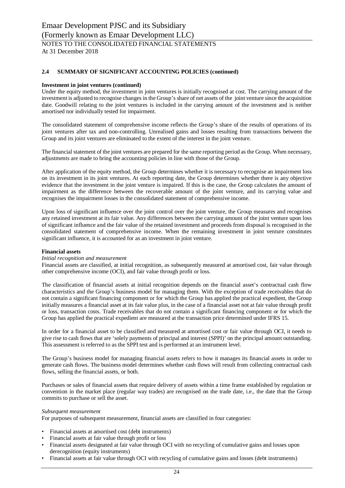#### **Investment in joint ventures (continued)**

Under the equity method, the investment in joint ventures is initially recognised at cost. The carrying amount of the investment is adjusted to recognise changes in the Group's share of net assets of the joint venture since the acquisition date. Goodwill relating to the joint ventures is included in the carrying amount of the investment and is neither amortised nor individually tested for impairment.

The consolidated statement of comprehensive income reflects the Group's share of the results of operations of its joint ventures after tax and non-controlling. Unrealised gains and losses resulting from transactions between the Group and its joint ventures are eliminated to the extent of the interest in the joint venture.

The financial statement of the joint ventures are prepared for the same reporting period as the Group. When necessary, adjustments are made to bring the accounting policies in line with those of the Group.

After application of the equity method, the Group determines whether it is necessary to recognise an impairment loss on its investment in its joint ventures. At each reporting date, the Group determines whether there is any objective evidence that the investment in the joint venture is impaired. If this is the case, the Group calculates the amount of impairment as the difference between the recoverable amount of the joint venture, and its carrying value and recognises the impairment losses in the consolidated statement of comprehensive income.

Upon loss of significant influence over the joint control over the joint venture, the Group measures and recognises any retained investment at its fair value. Any differences between the carrying amount of the joint venture upon loss of significant influence and the fair value of the retained investment and proceeds from disposal is recognised in the consolidated statement of comprehensive income. When the remaining investment in joint venture constitutes significant influence, it is accounted for as an investment in joint venture.

#### **Financial assets**

#### *Initial recognition and measurement*

Financial assets are classified, at initial recognition, as subsequently measured at amortised cost, fair value through other comprehensive income (OCI), and fair value through profit or loss.

The classification of financial assets at initial recognition depends on the financial asset's contractual cash flow characteristics and the Group's business model for managing them. With the exception of trade receivables that do not contain a significant financing component or for which the Group has applied the practical expedient, the Group initially measures a financial asset at its fair value plus, in the case of a financial asset not at fair value through profit or loss, transaction costs. Trade receivables that do not contain a significant financing component or for which the Group has applied the practical expedient are measured at the transaction price determined under IFRS 15.

In order for a financial asset to be classified and measured at amortised cost or fair value through OCI, it needs to give rise to cash flows that are 'solely payments of principal and interest (SPPI)' on the principal amount outstanding. This assessment is referred to as the SPPI test and is performed at an instrument level.

The Group's business model for managing financial assets refers to how it manages its financial assets in order to generate cash flows. The business model determines whether cash flows will result from collecting contractual cash flows, selling the financial assets, or both.

Purchases or sales of financial assets that require delivery of assets within a time frame established by regulation or convention in the market place (regular way trades) are recognised on the trade date, i.e., the date that the Group commits to purchase or sell the asset.

#### *Subsequent measurement*

For purposes of subsequent measurement, financial assets are classified in four categories:

- Financial assets at amortised cost (debt instruments)
- Financial assets at fair value through profit or loss
- Financial assets designated at fair value through OCI with no recycling of cumulative gains and losses upon derecognition (equity instruments)
- Financial assets at fair value through OCI with recycling of cumulative gains and losses (debt instruments)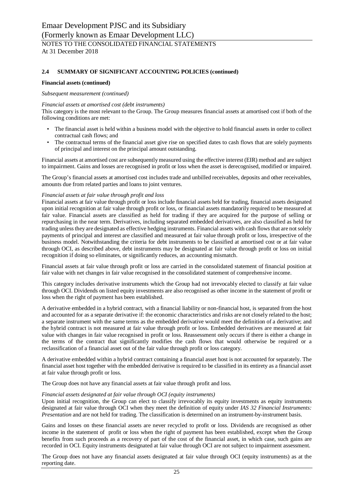#### **Financial assets (continued)**

#### *Subsequent measurement (continued)*

#### *Financial assets at amortised cost (debt instruments)*

This category is the most relevant to the Group. The Group measures financial assets at amortised cost if both of the following conditions are met:

- The financial asset is held within a business model with the objective to hold financial assets in order to collect contractual cash flows; and
- The contractual terms of the financial asset give rise on specified dates to cash flows that are solely payments of principal and interest on the principal amount outstanding.

Financial assets at amortised cost are subsequently measured using the effective interest (EIR) method and are subject to impairment. Gains and losses are recognised in profit or loss when the asset is derecognised, modified or impaired.

The Group's financial assets at amortised cost includes trade and unbilled receivables, deposits and other receivables, amounts due from related parties and loans to joint ventures.

#### *Financial assets at fair value through profit and loss*

Financial assets at fair value through profit or loss include financial assets held for trading, financial assets designated upon initial recognition at fair value through profit or loss, or financial assets mandatorily required to be measured at fair value. Financial assets are classified as held for trading if they are acquired for the purpose of selling or repurchasing in the near term. Derivatives, including separated embedded derivatives, are also classified as held for trading unless they are designated as effective hedging instruments. Financial assets with cash flows that are not solely payments of principal and interest are classified and measured at fair value through profit or loss, irrespective of the business model. Notwithstanding the criteria for debt instruments to be classified at amortised cost or at fair value through OCI, as described above, debt instruments may be designated at fair value through profit or loss on initial recognition if doing so eliminates, or significantly reduces, an accounting mismatch.

Financial assets at fair value through profit or loss are carried in the consolidated statement of financial position at fair value with net changes in fair value recognised in the consolidated statement of comprehensive income.

This category includes derivative instruments which the Group had not irrevocably elected to classify at fair value through OCI. Dividends on listed equity investments are also recognised as other income in the statement of profit or loss when the right of payment has been established.

A derivative embedded in a hybrid contract, with a financial liability or non-financial host, is separated from the host and accounted for as a separate derivative if: the economic characteristics and risks are not closely related to the host; a separate instrument with the same terms as the embedded derivative would meet the definition of a derivative; and the hybrid contract is not measured at fair value through profit or loss. Embedded derivatives are measured at fair value with changes in fair value recognised in profit or loss. Reassessment only occurs if there is either a change in the terms of the contract that significantly modifies the cash flows that would otherwise be required or a reclassification of a financial asset out of the fair value through profit or loss category.

A derivative embedded within a hybrid contract containing a financial asset host is not accounted for separately. The financial asset host together with the embedded derivative is required to be classified in its entirety as a financial asset at fair value through profit or loss.

The Group does not have any financial assets at fair value through profit and loss.

#### *Financial assets designated at fair value through OCI (equity instruments)*

Upon initial recognition, the Group can elect to classify irrevocably its equity investments as equity instruments designated at fair value through OCI when they meet the definition of equity under *IAS 32 Financial Instruments: Presentation* and are not held for trading. The classification is determined on an instrument-by-instrument basis.

Gains and losses on these financial assets are never recycled to profit or loss. Dividends are recognised as other income in the statement of profit or loss when the right of payment has been established, except when the Group benefits from such proceeds as a recovery of part of the cost of the financial asset, in which case, such gains are recorded in OCI. Equity instruments designated at fair value through OCI are not subject to impairment assessment.

The Group does not have any financial assets designated at fair value through OCI (equity instruments) as at the reporting date.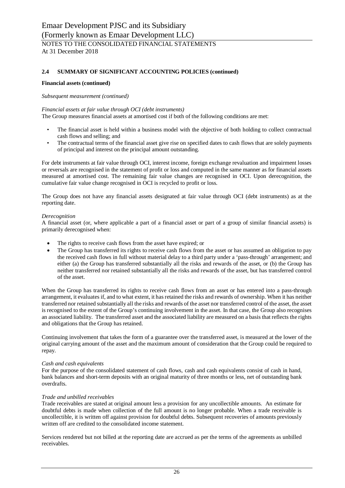#### **Financial assets (continued)**

#### *Subsequent measurement (continued)*

## *Financial assets at fair value through OCI (debt instruments)*

The Group measures financial assets at amortised cost if both of the following conditions are met:

- The financial asset is held within a business model with the objective of both holding to collect contractual cash flows and selling; and
- The contractual terms of the financial asset give rise on specified dates to cash flows that are solely payments of principal and interest on the principal amount outstanding.

For debt instruments at fair value through OCI, interest income, foreign exchange revaluation and impairment losses or reversals are recognised in the statement of profit or loss and computed in the same manner as for financial assets measured at amortised cost. The remaining fair value changes are recognised in OCI. Upon derecognition, the cumulative fair value change recognised in OCI is recycled to profit or loss.

The Group does not have any financial assets designated at fair value through OCI (debt instruments) as at the reporting date.

#### *Derecognition*

A financial asset (or, where applicable a part of a financial asset or part of a group of similar financial assets) is primarily derecognised when:

- The rights to receive cash flows from the asset have expired; or
- The Group has transferred its rights to receive cash flows from the asset or has assumed an obligation to pay the received cash flows in full without material delay to a third party under a 'pass-through' arrangement; and either (a) the Group has transferred substantially all the risks and rewards of the asset, or (b) the Group has neither transferred nor retained substantially all the risks and rewards of the asset, but has transferred control of the asset.

When the Group has transferred its rights to receive cash flows from an asset or has entered into a pass-through arrangement, it evaluates if, and to what extent, it has retained the risks and rewards of ownership. When it has neither transferred nor retained substantially all the risks and rewards of the asset nor transferred control of the asset, the asset is recognised to the extent of the Group's continuing involvement in the asset. In that case, the Group also recognises an associated liability. The transferred asset and the associated liability are measured on a basis that reflects the rights and obligations that the Group has retained.

Continuing involvement that takes the form of a guarantee over the transferred asset, is measured at the lower of the original carrying amount of the asset and the maximum amount of consideration that the Group could be required to repay.

#### *Cash and cash equivalents*

For the purpose of the consolidated statement of cash flows, cash and cash equivalents consist of cash in hand, bank balances and short-term deposits with an original maturity of three months or less, net of outstanding bank overdrafts.

#### *Trade and unbilled receivables*

Trade receivables are stated at original amount less a provision for any uncollectible amounts. An estimate for doubtful debts is made when collection of the full amount is no longer probable. When a trade receivable is uncollectible, it is written off against provision for doubtful debts. Subsequent recoveries of amounts previously written off are credited to the consolidated income statement.

Services rendered but not billed at the reporting date are accrued as per the terms of the agreements as unbilled receivables.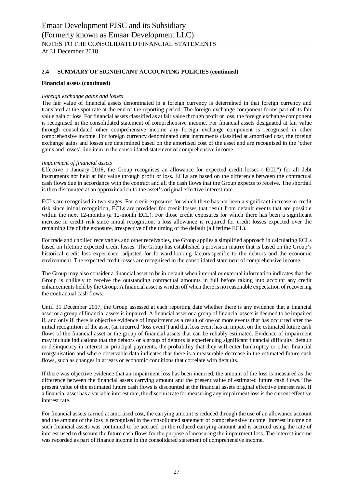### **Financial assets (continued)**

### *Foreign exchange gains and losses*

The fair value of financial assets denominated in a foreign currency is determined in that foreign currency and translated at the spot rate at the end of the reporting period. The foreign exchange component forms part of its fair value gain or loss. For financial assets classified as at fair value through profit or loss, the foreign exchange component is recognised in the consolidated statement of comprehensive income. For financial assets designated at fair value through consolidated other comprehensive income any foreign exchange component is recognised in other comprehensive income. For foreign currency denominated debt instruments classified at amortised cost, the foreign exchange gains and losses are determined based on the amortised cost of the asset and are recognised in the 'other gains and losses' line item in the consolidated statement of comprehensive income.

## *Impairment of financial assets*

Effective 1 January 2018, the Group recognises an allowance for expected credit losses ("ECL") for all debt instruments not held at fair value through profit or loss. ECLs are based on the difference between the contractual cash flows due in accordance with the contract and all the cash flows that the Group expects to receive. The shortfall is then discounted at an approximation to the asset's original effective interest rate.

ECLs are recognised in two stages. For credit exposures for which there has not been a significant increase in credit risk since initial recognition, ECLs are provided for credit losses that result from default events that are possible within the next 12-months (a 12-month ECL). For those credit exposures for which there has been a significant increase in credit risk since initial recognition, a loss allowance is required for credit losses expected over the remaining life of the exposure, irrespective of the timing of the default (a lifetime ECL).

For trade and unbilled receivables and other receivables, the Group applies a simplified approach in calculating ECLs based on lifetime expected credit losses. The Group has established a provision matrix that is based on the Group's historical credit loss experience, adjusted for forward-looking factors specific to the debtors and the economic environment. The expected credit losses are recognised in the consolidated statement of comprehensive income.

The Group may also consider a financial asset to be in default when internal or external information indicates that the Group is unlikely to receive the outstanding contractual amounts in full before taking into account any credit enhancements held by the Group. A financial asset is written off when there is no reasonable expectation of recovering the contractual cash flows.

Until 31 December 2017, the Group assessed at each reporting date whether there is any evidence that a financial asset or a group of financial assets is impaired. A financial asset or a group of financial assets is deemed to be impaired if, and only if, there is objective evidence of impairment as a result of one or more events that has occurred after the initial recognition of the asset (an incurred 'loss event') and that loss event has an impact on the estimated future cash flows of the financial asset or the group of financial assets that can be reliably estimated. Evidence of impairment may include indications that the debtors or a group of debtors is experiencing significant financial difficulty, default or delinquency in interest or principal payments, the probability that they will enter bankruptcy or other financial reorganisation and where observable data indicates that there is a measurable decrease in the estimated future cash flows, such as changes in arrears or economic conditions that correlate with defaults.

If there was objective evidence that an impairment loss has been incurred, the amount of the loss is measured as the difference between the financial assets carrying amount and the present value of estimated future cash flows. The present value of the estimated future cash flows is discounted at the financial assets original effective interest rate. If a financial asset has a variable interest rate, the discount rate for measuring any impairment loss is the current effective interest rate.

For financial assets carried at amortised cost, the carrying amount is reduced through the use of an allowance account and the amount of the loss is recognised in the consolidated statement of comprehensive income. Interest income on such financial assets was continued to be accrued on the reduced carrying amount and is accrued using the rate of interest used to discount the future cash flows for the purpose of measuring the impairment loss. The interest income was recorded as part of finance income in the consolidated statement of comprehensive income.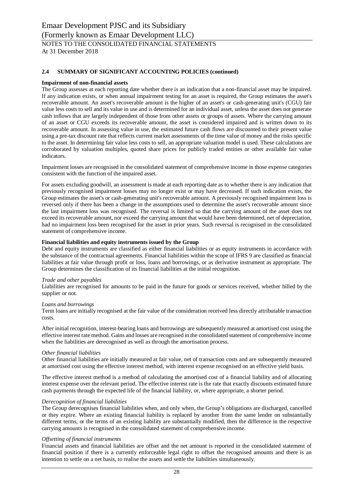#### **Impairment of non-financial assets**

The Group assesses at each reporting date whether there is an indication that a non-financial asset may be impaired. If any indication exists, or when annual impairment testing for an asset is required, the Group estimates the asset's recoverable amount. An asset's recoverable amount is the higher of an asset's or cash-generating unit's (CGU) fair value less costs to sell and its value in use and is determined for an individual asset, unless the asset does not generate cash inflows that are largely independent of those from other assets or groups of assets. Where the carrying amount of an asset or CGU exceeds its recoverable amount, the asset is considered impaired and is written down to its recoverable amount. In assessing value in use, the estimated future cash flows are discounted to their present value using a pre-tax discount rate that reflects current market assessments of the time value of money and the risks specific to the asset. In determining fair value less costs to sell, an appropriate valuation model is used. These calculations are corroborated by valuation multiples, quoted share prices for publicly traded entities or other available fair value indicators.

Impairment losses are recognised in the consolidated statement of comprehensive income in those expense categories consistent with the function of the impaired asset.

For assets excluding goodwill, an assessment is made at each reporting date as to whether there is any indication that previously recognised impairment losses may no longer exist or may have decreased. If such indication exists, the Group estimates the asset's or cash-generating unit's recoverable amount. A previously recognised impairment loss is reversed only if there has been a change in the assumptions used to determine the asset's recoverable amount since the last impairment loss was recognised. The reversal is limited so that the carrying amount of the asset does not exceed its recoverable amount, nor exceed the carrying amount that would have been determined, net of depreciation, had no impairment loss been recognised for the asset in prior years. Such reversal is recognised in the consolidated statement of comprehensive income.

#### **Financial liabilities and equity instruments issued by the Group**

Debt and equity instruments are classified as either financial liabilities or as equity instruments in accordance with the substance of the contractual agreements. Financial liabilities within the scope of IFRS 9 are classified as financial liabilities at fair value through profit or loss, loans and borrowings, or as derivative instrument as appropriate. The Group determines the classification of its financial liabilities at the initial recognition.

#### *Trade and other payables*

Liabilities are recognised for amounts to be paid in the future for goods or services received, whether billed by the supplier or not.

#### *Loans and borrowings*

Term loans are initially recognised at the fair value of the consideration received less directly attributable transaction costs.

After initial recognition, interest-bearing loans and borrowings are subsequently measured at amortised cost using the effective interest rate method. Gains and losses are recognised in the consolidated statement of comprehensive income when the liabilities are derecognised as well as through the amortisation process.

#### *Other financial liabilities*

Other financial liabilities are initially measured at fair value, net of transaction costs and are subsequently measured at amortised cost using the effective interest method, with interest expense recognised on an effective yield basis.

The effective interest method is a method of calculating the amortised cost of a financial liability and of allocating interest expense over the relevant period. The effective interest rate is the rate that exactly discounts estimated future cash payments through the expected life of the financial liability, or, where appropriate, a shorter period.

#### *Derecognition of financial liabilities*

The Group derecognises financial liabilities when, and only when, the Group's obligations are discharged, cancelled or they expire. Where an existing financial liability is replaced by another from the same lender on substantially different terms, or the terms of an existing liability are substantially modified, then the difference in the respective carrying amounts is recognised in the consolidated statement of comprehensive income.

#### *Offsetting of financial instruments*

Financial assets and financial liabilities are offset and the net amount is reported in the consolidated statement of financial position if there is a currently enforceable legal right to offset the recognised amounts and there is an intention to settle on a net basis, to realise the assets and settle the liabilities simultaneously.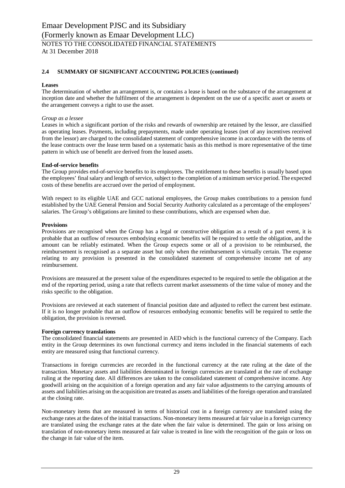#### **Leases**

The determination of whether an arrangement is, or contains a lease is based on the substance of the arrangement at inception date and whether the fulfilment of the arrangement is dependent on the use of a specific asset or assets or the arrangement conveys a right to use the asset.

### *Group as a lessee*

Leases in which a significant portion of the risks and rewards of ownership are retained by the lessor, are classified as operating leases. Payments, including prepayments, made under operating leases (net of any incentives received from the lessor) are charged to the consolidated statement of comprehensive income in accordance with the terms of the lease contracts over the lease term based on a systematic basis as this method is more representative of the time pattern in which use of benefit are derived from the leased assets.

## **End-of-service benefits**

The Group provides end-of-service benefits to its employees. The entitlement to these benefits is usually based upon the employees' final salary and length of service, subject to the completion of a minimum service period. The expected costs of these benefits are accrued over the period of employment.

With respect to its eligible UAE and GCC national employees, the Group makes contributions to a pension fund established by the UAE General Pension and Social Security Authority calculated as a percentage of the employees' salaries. The Group's obligations are limited to these contributions, which are expensed when due.

## **Provisions**

Provisions are recognised when the Group has a legal or constructive obligation as a result of a past event, it is probable that an outflow of resources embodying economic benefits will be required to settle the obligation, and the amount can be reliably estimated. When the Group expects some or all of a provision to be reimbursed, the reimbursement is recognised as a separate asset but only when the reimbursement is virtually certain. The expense relating to any provision is presented in the consolidated statement of comprehensive income net of any reimbursement.

Provisions are measured at the present value of the expenditures expected to be required to settle the obligation at the end of the reporting period, using a rate that reflects current market assessments of the time value of money and the risks specific to the obligation.

Provisions are reviewed at each statement of financial position date and adjusted to reflect the current best estimate. If it is no longer probable that an outflow of resources embodying economic benefits will be required to settle the obligation, the provision is reversed.

#### **Foreign currency translations**

The consolidated financial statements are presented in AED which is the functional currency of the Company. Each entity in the Group determines its own functional currency and items included in the financial statements of each entity are measured using that functional currency.

Transactions in foreign currencies are recorded in the functional currency at the rate ruling at the date of the transaction. Monetary assets and liabilities denominated in foreign currencies are translated at the rate of exchange ruling at the reporting date. All differences are taken to the consolidated statement of comprehensive income. Any goodwill arising on the acquisition of a foreign operation and any fair value adjustments to the carrying amounts of assets and liabilities arising on the acquisition are treated as assets and liabilities of the foreign operation and translated at the closing rate.

Non-monetary items that are measured in terms of historical cost in a foreign currency are translated using the exchange rates at the dates of the initial transactions. Non-monetary items measured at fair value in a foreign currency are translated using the exchange rates at the date when the fair value is determined. The gain or loss arising on translation of non-monetary items measured at fair value is treated in line with the recognition of the gain or loss on the change in fair value of the item.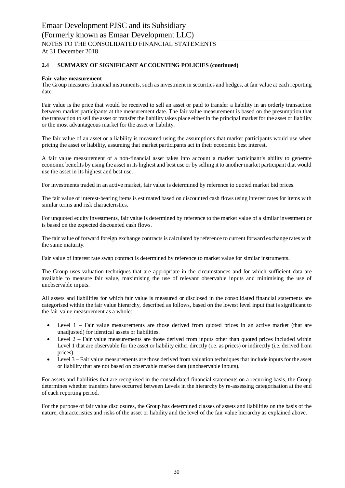At 31 December 2018

### **2.4 SUMMARY OF SIGNIFICANT ACCOUNTING POLICIES (continued)**

#### **Fair value measurement**

The Group measures financial instruments, such as investment in securities and hedges, at fair value at each reporting date.

Fair value is the price that would be received to sell an asset or paid to transfer a liability in an orderly transaction between market participants at the measurement date. The fair value measurement is based on the presumption that the transaction to sell the asset or transfer the liability takes place either in the principal market for the asset or liability or the most advantageous market for the asset or liability.

The fair value of an asset or a liability is measured using the assumptions that market participants would use when pricing the asset or liability, assuming that market participants act in their economic best interest.

A fair value measurement of a non-financial asset takes into account a market participant's ability to generate economic benefits by using the asset in its highest and best use or by selling it to another market participant that would use the asset in its highest and best use.

For investments traded in an active market, fair value is determined by reference to quoted market bid prices.

The fair value of interest-bearing items is estimated based on discounted cash flows using interest rates for items with similar terms and risk characteristics.

For unquoted equity investments, fair value is determined by reference to the market value of a similar investment or is based on the expected discounted cash flows.

The fair value of forward foreign exchange contracts is calculated by reference to current forward exchange rates with the same maturity.

Fair value of interest rate swap contract is determined by reference to market value for similar instruments.

The Group uses valuation techniques that are appropriate in the circumstances and for which sufficient data are available to measure fair value, maximising the use of relevant observable inputs and minimising the use of unobservable inputs.

All assets and liabilities for which fair value is measured or disclosed in the consolidated financial statements are categorised within the fair value hierarchy, described as follows, based on the lowest level input that is significant to the fair value measurement as a whole:

- Level  $1$  Fair value measurements are those derived from quoted prices in an active market (that are unadjusted) for identical assets or liabilities.
- Level  $2$  Fair value measurements are those derived from inputs other than quoted prices included within Level 1 that are observable for the asset or liability either directly (i.e. as prices) or indirectly (i.e. derived from prices).
- Level 3 Fair value measurements are those derived from valuation techniques that include inputs for the asset or liability that are not based on observable market data (unobservable inputs).

For assets and liabilities that are recognised in the consolidated financial statements on a recurring basis, the Group determines whether transfers have occurred between Levels in the hierarchy by re-assessing categorisation at the end of each reporting period.

For the purpose of fair value disclosures, the Group has determined classes of assets and liabilities on the basis of the nature, characteristics and risks of the asset or liability and the level of the fair value hierarchy as explained above.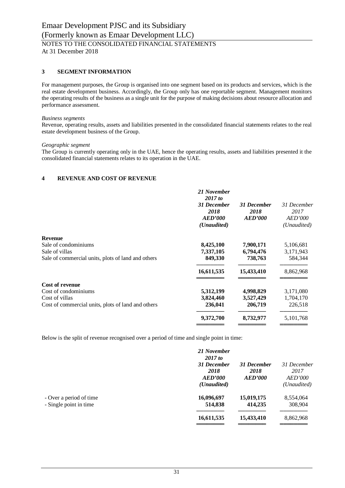## **3 SEGMENT INFORMATION**

For management purposes, the Group is organised into one segment based on its products and services, which is the real estate development business. Accordingly, the Group only has one reportable segment. Management monitors the operating results of the business as a single unit for the purpose of making decisions about resource allocation and performance assessment.

#### *Business segments*

Revenue, operating results, assets and liabilities presented in the consolidated financial statements relates to the real estate development business of the Group.

#### *Geographic segment*

The Group is currently operating only in the UAE, hence the operating results, assets and liabilities presented it the consolidated financial statements relates to its operation in the UAE.

## **4 REVENUE AND COST OF REVENUE**

|                                                    | 21 November<br>2017 to<br>31 December<br>2018<br>AED'000<br>(Unaudited) | 31 December<br>2018<br><b>AED'000</b> | 31 December<br>2017<br><b>AED'000</b><br>(Unaudited) |
|----------------------------------------------------|-------------------------------------------------------------------------|---------------------------------------|------------------------------------------------------|
| <b>Revenue</b>                                     |                                                                         |                                       |                                                      |
| Sale of condominiums                               | 8,425,100                                                               | 7,900,171                             | 5,106,681                                            |
| Sale of villas                                     | 7,337,105                                                               | 6,794,476                             | 3,171,943                                            |
| Sale of commercial units, plots of land and others | 849,330                                                                 | 738,763                               | 584,344                                              |
|                                                    | 16,611,535                                                              | 15,433,410                            | 8,862,968                                            |
| <b>Cost of revenue</b>                             |                                                                         |                                       |                                                      |
| Cost of condominiums                               | 5,312,199                                                               | 4,998,829                             | 3,171,080                                            |
| Cost of villas                                     | 3,824,460                                                               | 3,527,429                             | 1,704,170                                            |
| Cost of commercial units, plots of land and others | 236,041                                                                 | 206,719                               | 226,518                                              |
|                                                    | 9,372,700                                                               | 8,732,977                             | 5,101,768                                            |
|                                                    |                                                                         |                                       |                                                      |

Below is the split of revenue recognised over a period of time and single point in time:

|                                                   | 21 November<br>2017 to<br>31 December<br>2018<br>AED'000<br>( <i>Unaudited</i> ) | 31 December<br>2018<br><b>AED'000</b> | 31 December<br>2017<br><i>AED'000</i><br>(Unaudited) |
|---------------------------------------------------|----------------------------------------------------------------------------------|---------------------------------------|------------------------------------------------------|
| - Over a period of time<br>- Single point in time | 16,096,697<br>514,838                                                            | 15,019,175<br>414,235                 | 8,554,064<br>308,904                                 |
|                                                   | 16,611,535                                                                       | 15,433,410                            | 8,862,968                                            |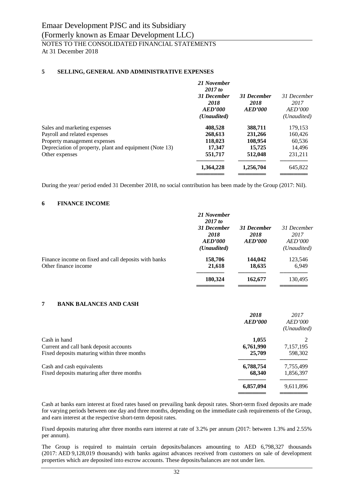## **5 SELLING, GENERAL AND ADMINISTRATIVE EXPENSES**

|                                                         | 21 November<br>2017 to |                |                |
|---------------------------------------------------------|------------------------|----------------|----------------|
|                                                         | 31 December            | 31 December    | 31 December    |
|                                                         | 2018                   | 2018           | 2017           |
|                                                         | AED'000                | <b>AED'000</b> | <b>AED'000</b> |
|                                                         | ( <i>Unaudited</i> )   |                | (Unaudited)    |
| Sales and marketing expenses                            | 408,528                | 388,711        | 179,153        |
| Payroll and related expenses                            | 268,613                | 231,266        | 160,426        |
| Property management expenses                            | 118,023                | 108,954        | 60,536         |
| Depreciation of property, plant and equipment (Note 13) | 17,347                 | 15,725         | 14,496         |
| Other expenses                                          | 551,717                | 512,048        | 231.211        |
|                                                         | 1,364,228              | 1,256,704      | 645,822        |
|                                                         |                        |                |                |

During the year/ period ended 31 December 2018, no social contribution has been made by the Group (2017: Nil).

#### **6 FINANCE INCOME**

|                                                                              | 21 November<br>2017 to<br>31 December<br>2018<br>AED'000<br>( <i>Unaudited</i> ) | 31 December<br>2018<br><b>AED'000</b> | 31 December<br>2017<br><i>AED'000</i><br>( <i>Unaudited</i> ) |
|------------------------------------------------------------------------------|----------------------------------------------------------------------------------|---------------------------------------|---------------------------------------------------------------|
| Finance income on fixed and call deposits with banks<br>Other finance income | 158,706<br>21,618                                                                | 144,042<br>18,635                     | 123,546<br>6,949                                              |
|                                                                              | 180,324                                                                          | 162,677                               | 130,495                                                       |

#### **7 BANK BALANCES AND CASH**

|                                             | 2018<br><b>AED'000</b> | 2017<br><i>AED'000</i><br>(Unaudited) |
|---------------------------------------------|------------------------|---------------------------------------|
| Cash in hand                                | 1,055                  |                                       |
| Current and call bank deposit accounts      | 6,761,990              | 7,157,195                             |
| Fixed deposits maturing within three months | 25,709                 | 598,302                               |
| Cash and cash equivalents                   | 6,788,754              | 7,755,499                             |
| Fixed deposits maturing after three months  | 68,340                 | 1,856,397                             |
|                                             | 6,857,094              | 9,611,896                             |
|                                             |                        |                                       |

Cash at banks earn interest at fixed rates based on prevailing bank deposit rates. Short-term fixed deposits are made for varying periods between one day and three months, depending on the immediate cash requirements of the Group, and earn interest at the respective short-term deposit rates.

Fixed deposits maturing after three months earn interest at rate of 3.2% per annum (2017: between 1.3% and 2.55% per annum).

The Group is required to maintain certain deposits/balances amounting to AED 6,798,327 thousands (2017: AED 9,128,019 thousands) with banks against advances received from customers on sale of development properties which are deposited into escrow accounts. These deposits/balances are not under lien.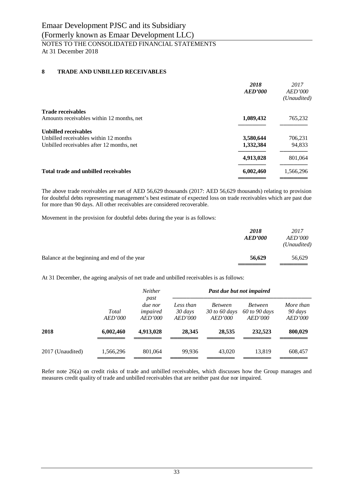## **8 TRADE AND UNBILLED RECEIVABLES**

| AED'000   | 2017<br>AED'000<br>(Unaudited) |
|-----------|--------------------------------|
|           |                                |
| 1,089,432 | 765,232                        |
|           |                                |
| 3,580,644 | 706,231                        |
| 1,332,384 | 94,833                         |
| 4,913,028 | 801,064                        |
| 6,002,460 | 1,566,296                      |
|           | 2018                           |

The above trade receivables are net of AED 56,629 thousands (2017: AED 56,629 thousands) relating to provision for doubtful debts representing management's best estimate of expected loss on trade receivables which are past due for more than 90 days. All other receivables are considered recoverable.

Movement in the provision for doubtful debts during the year is as follows:

|                                              | 2018<br><b>AED'000</b> | 2017<br><i>AED'000</i><br>(Unaudited) |
|----------------------------------------------|------------------------|---------------------------------------|
| Balance at the beginning and end of the year | 56,629                 | 56,629                                |

At 31 December, the ageing analysis of net trade and unbilled receivables is as follows:

|                  |                  | Neither                                |                                 | Past due but not impaired                  |                                            |                                               |
|------------------|------------------|----------------------------------------|---------------------------------|--------------------------------------------|--------------------------------------------|-----------------------------------------------|
|                  | Total<br>AED'000 | past<br>due nor<br>impaired<br>AED'000 | Less than<br>30 days<br>AED'000 | <b>Between</b><br>30 to 60 days<br>AED'000 | <b>Between</b><br>60 to 90 days<br>AED'000 | More than<br>90 days<br><i><b>AED'000</b></i> |
| 2018             | 6,002,460        | 4,913,028                              | 28,345                          | 28,535                                     | 232.523                                    | 800,029                                       |
| 2017 (Unaudited) | 1,566,296        | 801,064                                | 99.936                          | 43,020                                     | 13.819                                     | 608,457                                       |

Refer note 26(a) on credit risks of trade and unbilled receivables, which discusses how the Group manages and measures credit quality of trade and unbilled receivables that are neither past due nor impaired.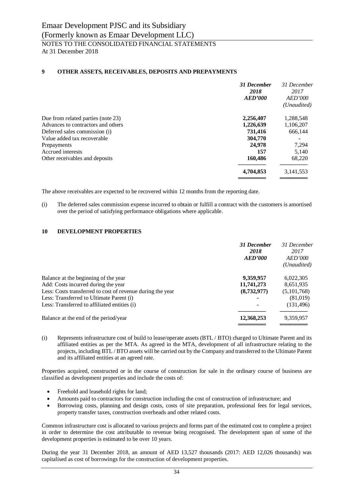## **9 OTHER ASSETS, RECEIVABLES, DEPOSITS AND PREPAYMENTS**

|                                    | 31 December<br>2018<br><b>AED'000</b> | 31 December<br>2017<br><i>AED'000</i><br>(Unaudited) |
|------------------------------------|---------------------------------------|------------------------------------------------------|
| Due from related parties (note 23) | 2,256,407                             | 1,288,548                                            |
| Advances to contractors and others | 1,226,639                             | 1,106,207                                            |
| Deferred sales commission (i)      | 731,416                               | 666,144                                              |
| Value added tax recoverable        | 304,770                               |                                                      |
| Prepayments                        | 24,978                                | 7,294                                                |
| Accrued interests                  | 157                                   | 5,140                                                |
| Other receivables and deposits     | 160,486                               | 68,220                                               |
|                                    | 4,704,853                             | 3, 141, 553                                          |
|                                    |                                       |                                                      |

The above receivables are expected to be recovered within 12 months from the reporting date.

(i) The deferred sales commission expense incurred to obtain or fulfill a contract with the customers is amortised over the period of satisfying performance obligations where applicable.

## **10 DEVELOPMENT PROPERTIES**

| 31 December<br>2018<br><b>AED'000</b> | 31 December<br>2017<br><i>AED'000</i><br>(Unaudited) |
|---------------------------------------|------------------------------------------------------|
| 9,359,957                             | 6,022,305                                            |
| 11,741,273                            | 8,651,935                                            |
| (8,732,977)                           | (5,101,768)                                          |
|                                       | (81,019)                                             |
|                                       | (131, 496)                                           |
| 12,368,253                            | 9,359,957                                            |
|                                       |                                                      |

(i) Represents infrastructure cost of build to lease/operate assets (BTL / BTO) charged to Ultimate Parent and its affiliated entities as per the MTA. As agreed in the MTA, development of all infrastructure relating to the projects, including BTL / BTO assets will be carried out by the Company and transferred to the Ultimate Parent and its affiliated entities at an agreed rate.

Properties acquired, constructed or in the course of construction for sale in the ordinary course of business are classified as development properties and include the costs of:

- Freehold and leasehold rights for land;
- · Amounts paid to contractors for construction including the cost of construction of infrastructure; and
- · Borrowing costs, planning and design costs, costs of site preparation, professional fees for legal services, property transfer taxes, construction overheads and other related costs.

Common infrastructure cost is allocated to various projects and forms part of the estimated cost to complete a project in order to determine the cost attributable to revenue being recognised. The development span of some of the development properties is estimated to be over 10 years.

During the year 31 December 2018, an amount of AED 13,527 thousands (2017: AED 12,026 thousands) was capitalised as cost of borrowings for the construction of development properties.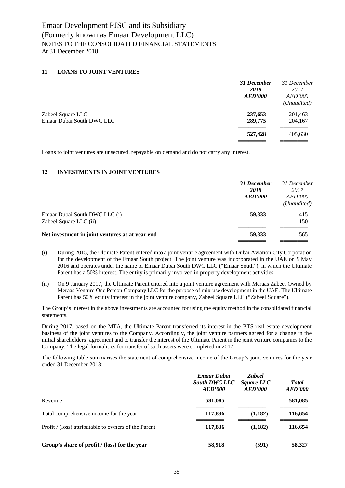## **11 LOANS TO JOINT VENTURES**

|                           | 31 December<br>2018<br><b>AED'000</b> | 31 December<br>2017<br><i>AED'000</i><br>(Unaudited) |
|---------------------------|---------------------------------------|------------------------------------------------------|
| Zabeel Square LLC         | 237,653                               | 201,463                                              |
| Emaar Dubai South DWC LLC | 289,775                               | 204,167                                              |
|                           | 527,428                               | 405,630                                              |
|                           |                                       |                                                      |

Loans to joint ventures are unsecured, repayable on demand and do not carry any interest.

## **12 INVESTMENTS IN JOINT VENTURES**

|                                                 | 31 December<br>2018<br><b>AED'000</b> | 31 December<br>2017<br><i>AED'000</i><br>(Unaudited) |
|-------------------------------------------------|---------------------------------------|------------------------------------------------------|
| Emaar Dubai South DWC LLC (i)                   | 59,333                                | 415                                                  |
| Zabeel Square LLC (ii)                          |                                       | 150                                                  |
| Net investment in joint ventures as at year end | 59,333                                | 565                                                  |
|                                                 |                                       |                                                      |

- (i) During 2015, the Ultimate Parent entered into a joint venture agreement with Dubai Aviation City Corporation for the development of the Emaar South project. The joint venture was incorporated in the UAE on 9 May 2016 and operates under the name of Emaar Dubai South DWC LLC ("Emaar South"), in which the Ultimate Parent has a 50% interest. The entity is primarily involved in property development activities.
- (ii) On 9 January 2017, the Ultimate Parent entered into a joint venture agreement with Meraas Zabeel Owned by Meraas Venture One Person Company LLC for the purpose of mix-use development in the UAE. The Ultimate Parent has 50% equity interest in the joint venture company, Zabeel Square LLC ("Zabeel Square").

The Group's interest in the above investments are accounted for using the equity method in the consolidated financial statements.

During 2017, based on the MTA, the Ultimate Parent transferred its interest in the BTS real estate development business of the joint ventures to the Company. Accordingly, the joint venture partners agreed for a change in the initial shareholders' agreement and to transfer the interest of the Ultimate Parent in the joint venture companies to the Company. The legal formalities for transfer of such assets were completed in 2017.

The following table summarises the statement of comprehensive income of the Group's joint ventures for the year ended 31 December 2018:

|                                                      | <b>Emaar Dubai</b><br><b>South DWC LLC</b><br>AED'000 | <b>Zabeel</b><br>Square LLC<br><b>AED'000</b> | <b>Total</b><br><b>AED'000</b> |
|------------------------------------------------------|-------------------------------------------------------|-----------------------------------------------|--------------------------------|
| Revenue                                              | 581,085                                               | ۰                                             | 581,085                        |
| Total comprehensive income for the year              | 117,836                                               | (1,182)                                       | 116,654                        |
| Profit / (loss) attributable to owners of the Parent | 117,836                                               | (1,182)                                       | 116,654                        |
| Group's share of profit / (loss) for the year        | 58,918                                                | (591)                                         | 58,327                         |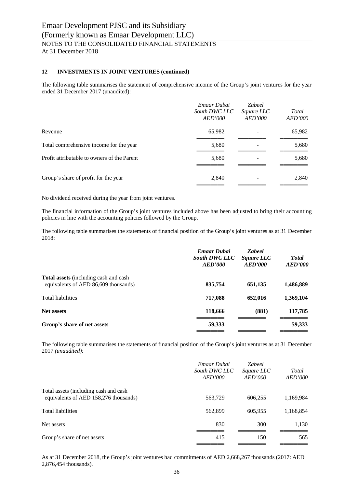## **12 INVESTMENTS IN JOINT VENTURES (continued)**

The following table summarises the statement of comprehensive income of the Group's joint ventures for the year ended 31 December 2017 (unaudited):

|                                             | Emaar Dubai<br>South DWC LLC<br><i>AED'000</i> | <b>Zabeel</b><br>Square LLC<br>AED'000 | Total<br><b>AED'000</b> |
|---------------------------------------------|------------------------------------------------|----------------------------------------|-------------------------|
| Revenue                                     | 65,982                                         |                                        | 65,982                  |
| Total comprehensive income for the year     | 5,680                                          |                                        | 5,680                   |
| Profit attributable to owners of the Parent | 5,680                                          |                                        | 5,680                   |
| Group's share of profit for the year        | 2,840                                          | ۰                                      | 2,840                   |

No dividend received during the year from joint ventures.

The financial information of the Group's joint ventures included above has been adjusted to bring their accounting policies in line with the accounting policies followed by the Group.

The following table summarises the statements of financial position of the Group's joint ventures as at 31 December 2018:

|                                                                                       | <b>Emaar Dubai</b><br><b>South DWC LLC</b><br>AED'000 | <b>Zabeel</b><br><i>Square LLC</i><br>AED'000 | <b>Total</b><br>AED'000 |
|---------------------------------------------------------------------------------------|-------------------------------------------------------|-----------------------------------------------|-------------------------|
| <b>Total assets</b> (including cash and cash)<br>equivalents of AED 86,609 thousands) | 835,754                                               | 651,135                                       | 1,486,889               |
| <b>Total liabilities</b>                                                              | 717,088                                               | 652,016                                       | 1,369,104               |
| <b>Net assets</b>                                                                     | 118,666                                               | (881)                                         | 117,785                 |
| Group's share of net assets                                                           | 59,333                                                | ۰                                             | 59,333                  |

The following table summarises the statements of financial position of the Group's joint ventures as at 31 December 2017 *(unaudited):*

|                                                                                 | Emaar Dubai<br>South DWC LLC<br>AED'000 | <b>Zabeel</b><br>Square LLC<br>AED'000 | Total<br>AED'000 |
|---------------------------------------------------------------------------------|-----------------------------------------|----------------------------------------|------------------|
| Total assets (including cash and cash)<br>equivalents of AED 158,276 thousands) | 563,729                                 | 606,255                                | 1,169,984        |
| Total liabilities                                                               | 562,899                                 | 605,955                                | 1,168,854        |
| Net assets                                                                      | 830                                     | 300                                    | 1,130            |
| Group's share of net assets                                                     | 415                                     | 150                                    | 565              |

As at 31 December 2018, the Group's joint ventures had commitments of AED 2,668,267 thousands (2017: AED 2,876,454 thousands).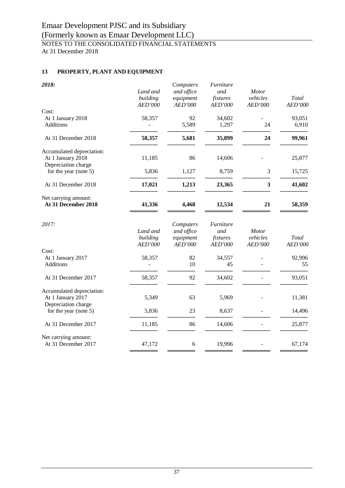## Emaar Development PJSC and its Subsidiary (Formerly known as Emaar Development LLC) NOTES TO THE CONSOLIDATED FINANCIAL STATEMENTS At 31 December 2018

## **13 PROPERTY, PLANT AND EQUIPMENT**

| 2018:                                                                 | Land and<br>building<br>AED'000 | Computers<br>and office<br>equipment<br>AED'000 | Furniture<br>and<br>fixtures<br>AED'000 | <b>Motor</b><br>vehicles<br>AED'000 | Total<br>AED'000 |
|-----------------------------------------------------------------------|---------------------------------|-------------------------------------------------|-----------------------------------------|-------------------------------------|------------------|
| Cost:                                                                 |                                 |                                                 |                                         |                                     |                  |
| At 1 January 2018<br><b>Additions</b>                                 | 58,357                          | 92<br>5,589                                     | 34,602<br>1,297                         | 24                                  | 93,051<br>6,910  |
| At 31 December 2018                                                   | 58,357                          | 5,681                                           | 35,899                                  | 24                                  | 99,961           |
| Accumulated depreciation:                                             |                                 |                                                 |                                         |                                     |                  |
| At 1 January 2018<br>Depreciation charge                              | 11,185                          | 86                                              | 14,606                                  |                                     | 25,877           |
| for the year (note 5)                                                 | 5,836                           | 1,127                                           | 8,759                                   | 3                                   | 15,725           |
| At 31 December 2018                                                   | 17,021                          | 1,213                                           | 23,365                                  | 3                                   | 41,602           |
| Net carrying amount:<br>At 31 December 2018                           | 41,336                          | 4,468                                           | 12,534                                  | 21                                  | 58,359           |
| 2017:                                                                 | Land and<br>building<br>AED'000 | Computers<br>and office<br>equipment<br>AED'000 | Furniture<br>and<br>fixtures<br>AED'000 | <b>Motor</b><br>vehicles<br>AED'000 | Total<br>AED'000 |
| Cost:                                                                 |                                 |                                                 |                                         |                                     |                  |
| At 1 January 2017<br>Additions                                        | 58,357                          | 82<br>10                                        | 34,557<br>45                            |                                     | 92,996<br>55     |
| At 31 December 2017                                                   | 58,357                          | 92                                              | 34,602                                  |                                     | 93,051           |
| Accumulated depreciation:<br>At 1 January 2017<br>Depreciation charge | 5,349                           | 63                                              | 5,969                                   |                                     | 11,381           |
| for the year (note $5$ )                                              | 5,836                           | 23                                              | 8,637                                   |                                     | 14,496           |
| At 31 December 2017                                                   | 11,185                          | 86                                              | 14,606                                  |                                     | 25,877           |
| Net carrying amount:<br>At 31 December 2017                           | 47,172                          | 6                                               | 19,996                                  |                                     | 67,174           |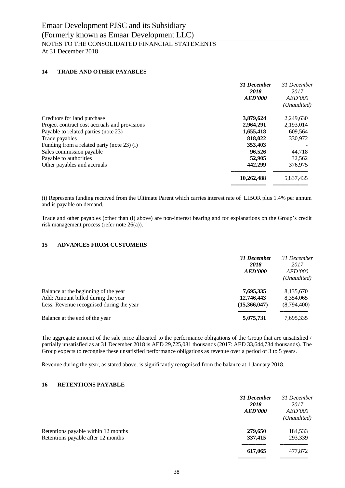## **14 TRADE AND OTHER PAYABLES**

|                                               | 31 December<br>2018<br>AED'000 | 31 December<br>2017<br><b>AED'000</b><br>(Unaudited) |
|-----------------------------------------------|--------------------------------|------------------------------------------------------|
| Creditors for land purchase                   | 3,879,624                      | 2,249,630                                            |
| Project contract cost accruals and provisions | 2,964,291                      | 2,193,014                                            |
| Payable to related parties (note 23)          | 1,655,418                      | 609,564                                              |
| Trade payables                                | 818,022                        | 330,972                                              |
| Funding from a related party (note 23) (i)    | 353,403                        |                                                      |
| Sales commission payable                      | 96.526                         | 44.718                                               |
| Payable to authorities                        | 52,905                         | 32,562                                               |
| Other payables and accruals                   | 442,299                        | 376,975                                              |
|                                               | 10,262,488                     | 5,837,435                                            |
|                                               |                                |                                                      |

(i) Represents funding received from the Ultimate Parent which carries interest rate of LIBOR plus 1.4% per annum and is payable on demand.

Trade and other payables (other than (i) above) are non-interest bearing and for explanations on the Group's credit risk management process (refer note 26(a)).

## **15 ADVANCES FROM CUSTOMERS**

|                                          | <b>31 December</b><br>2018<br><b>AED'000</b> | 31 December<br>2017<br><i>AED'000</i><br>(Unaudited) |
|------------------------------------------|----------------------------------------------|------------------------------------------------------|
| Balance at the beginning of the year     | 7,695,335                                    | 8,135,670                                            |
| Add: Amount billed during the year       | 12,746,443                                   | 8,354,065                                            |
| Less: Revenue recognised during the year | (15,366,047)                                 | (8,794,400)                                          |
| Balance at the end of the year           | 5,075,731                                    | 7,695,335                                            |
|                                          |                                              |                                                      |

The aggregate amount of the sale price allocated to the performance obligations of the Group that are unsatisfied / partially unsatisfied as at 31 December 2018 is AED 29,725,081 thousands (2017: AED 33,644,734 thousands). The Group expects to recognise these unsatisfied performance obligations as revenue over a period of 3 to 5 years.

Revenue during the year, as stated above, is significantly recognised from the balance at 1 January 2018.

## **16 RETENTIONS PAYABLE**

|                                     | 31 December<br>2018<br><b>AED'000</b> | 31 December<br>2017<br><i>AED'000</i><br>(Unaudited) |
|-------------------------------------|---------------------------------------|------------------------------------------------------|
| Retentions payable within 12 months | 279,650                               | 184,533                                              |
| Retentions payable after 12 months  | 337,415                               | 293,339                                              |
|                                     | 617,065                               | 477,872                                              |
|                                     |                                       |                                                      |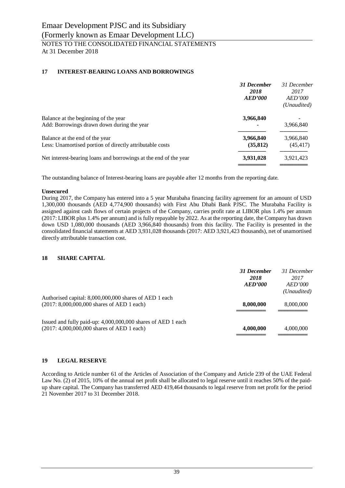## **17 INTEREST-BEARING LOANS AND BORROWINGS**

|                                                                                            | 31 December<br>2018<br><b>AED'000</b> | 31 December<br>2017<br><i>AED'000</i><br>(Unaudited) |
|--------------------------------------------------------------------------------------------|---------------------------------------|------------------------------------------------------|
| Balance at the beginning of the year<br>Add: Borrowings drawn down during the year         | 3,966,840                             | 3,966,840                                            |
| Balance at the end of the year<br>Less: Unamortised portion of directly attributable costs | 3,966,840<br>(35, 812)                | 3,966,840<br>(45, 417)                               |
| Net interest-bearing loans and borrowings at the end of the year                           | 3,931,028                             | 3,921,423                                            |

The outstanding balance of Interest-bearing loans are payable after 12 months from the reporting date.

## **Unsecured**

During 2017, the Company has entered into a 5 year Murabaha financing facility agreement for an amount of USD 1,300,000 thousands (AED 4,774,900 thousands) with First Abu Dhabi Bank PJSC. The Murabaha Facility is assigned against cash flows of certain projects of the Company, carries profit rate at LIBOR plus 1.4% per annum (2017: LIBOR plus 1.4% per annum) and is fully repayable by 2022. As at the reporting date, the Company has drawn down USD 1,080,000 thousands (AED 3,966,840 thousands) from this facility. The Facility is presented in the consolidated financial statements at AED 3,931,028 thousands (2017: AED 3,921,423 thousands), net of unamortised directly attributable transaction cost.

## **18 SHARE CAPITAL**

|                                                                                                            | 31 December<br>2018<br>AED'000 | 31 December<br>2017<br>AED'000<br>(Unaudited) |
|------------------------------------------------------------------------------------------------------------|--------------------------------|-----------------------------------------------|
| Authorised capital: 8,000,000,000 shares of AED 1 each<br>$(2017: 8,000,000,000$ shares of AED 1 each)     | 8,000,000                      | 8,000,000                                     |
| Issued and fully paid-up: 4,000,000,000 shares of AED 1 each<br>(2017: 4,000,000,000 shares of AED 1 each) | 4,000,000                      | 4,000,000                                     |

## **19 LEGAL RESERVE**

According to Article number 61 of the Articles of Association of the Company and Article 239 of the UAE Federal Law No. (2) of 2015, 10% of the annual net profit shall be allocated to legal reserve until it reaches 50% of the paidup share capital. The Company has transferred AED 419,464 thousands to legal reserve from net profit for the period 21 November 2017 to 31 December 2018.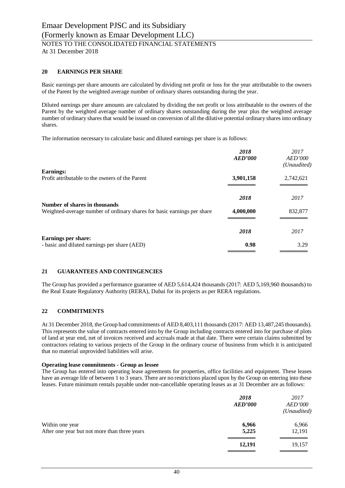## **20 EARNINGS PER SHARE**

Basic earnings per share amounts are calculated by dividing net profit or loss for the year attributable to the owners of the Parent by the weighted average number of ordinary shares outstanding during the year.

Diluted earnings per share amounts are calculated by dividing the net profit or loss attributable to the owners of the Parent by the weighted average number of ordinary shares outstanding during the year plus the weighted average number of ordinary shares that would be issued on conversion of all the dilutive potential ordinary shares into ordinary shares.

The information necessary to calculate basic and diluted earnings per share is as follows:

|                                                                                                          | 2018<br>AED'000 | 2017<br><i>AED'000</i><br>(Unaudited) |
|----------------------------------------------------------------------------------------------------------|-----------------|---------------------------------------|
| <b>Earnings:</b>                                                                                         |                 |                                       |
| Profit attributable to the owners of the Parent                                                          | 3,901,158       | 2,742,621                             |
|                                                                                                          | 2018            | 2017                                  |
| Number of shares in thousands<br>Weighted-average number of ordinary shares for basic earnings per share | 4,000,000       | 832,877                               |
|                                                                                                          | 2018            | 2017                                  |
| <b>Earnings per share:</b><br>- basic and diluted earnings per share (AED)                               | 0.98            | 3.29                                  |

#### **21 GUARANTEES AND CONTINGENCIES**

The Group has provided a performance guarantee of AED 5,614,424 thousands (2017: AED 5,169,960 thousands) to the Real Estate Regulatory Authority (RERA), Dubai for its projects as per RERA regulations.

#### **22 COMMITMENTS**

At 31 December 2018, the Group had commitments of AED 8,403,111 thousands (2017: AED 13,487,245 thousands). This represents the value of contracts entered into by the Group including contracts entered into for purchase of plots of land at year end, net of invoices received and accruals made at that date. There were certain claims submitted by contractors relating to various projects of the Group in the ordinary course of business from which it is anticipated that no material unprovided liabilities will arise.

#### **Operating lease commitments - Group as lessee**

The Group has entered into operating lease agreements for properties, office facilities and equipment. These leases have an average life of between 1 to 3 years. There are no restrictions placed upon by the Group on entering into these leases. Future minimum rentals payable under non-cancellable operating leases as at 31 December are as follows:

|                                                                 | 2018<br>AED'000 | 2017<br><b>AED'000</b><br>(Unaudited) |
|-----------------------------------------------------------------|-----------------|---------------------------------------|
| Within one year<br>After one year but not more than three years | 6,966<br>5,225  | 6,966<br>12,191                       |
|                                                                 | 12,191          | 19,157                                |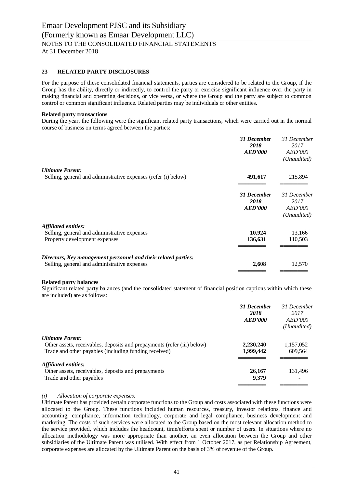## **23 RELATED PARTY DISCLOSURES**

For the purpose of these consolidated financial statements, parties are considered to be related to the Group, if the Group has the ability, directly or indirectly, to control the party or exercise significant influence over the party in making financial and operating decisions, or vice versa, or where the Group and the party are subject to common control or common significant influence. Related parties may be individuals or other entities.

#### **Related party transactions**

During the year, the following were the significant related party transactions, which were carried out in the normal course of business on terms agreed between the parties:

|                                                                                                                | 31 December<br>2018<br><b>AED'000</b> | 31 December<br>2017<br><i>AED'000</i><br>(Unaudited) |
|----------------------------------------------------------------------------------------------------------------|---------------------------------------|------------------------------------------------------|
| <b>Ultimate Parent:</b>                                                                                        |                                       |                                                      |
| Selling, general and administrative expenses (refer (i) below)                                                 | 491,617                               | 215,894                                              |
|                                                                                                                | 31 December<br>2018<br><b>AED'000</b> | 31 December<br>2017<br><i>AED'000</i><br>(Unaudited) |
| <b>Affiliated entities:</b><br>Selling, general and administrative expenses<br>Property development expenses   | 10,924<br>136,631                     | 13,166<br>110,503                                    |
| Directors, Key management personnel and their related parties:<br>Selling, general and administrative expenses | 2,608                                 | 12,570                                               |

#### **Related party balances**

Significant related party balances (and the consolidated statement of financial position captions within which these are included) are as follows:

|                                                                         | 31 December<br>2018<br>AED'000 | 31 December<br>2017<br>AED'000<br>(Unaudited) |
|-------------------------------------------------------------------------|--------------------------------|-----------------------------------------------|
| <b>Ultimate Parent:</b>                                                 |                                |                                               |
| Other assets, receivables, deposits and prepayments (refer (iii) below) | 2,230,240                      | 1,157,052                                     |
| Trade and other payables (including funding received)                   | 1,999,442                      | 609.564                                       |
| Affiliated entities:                                                    |                                |                                               |
| Other assets, receivables, deposits and prepayments                     | 26,167                         | 131,496                                       |
| Trade and other payables                                                | 9.379                          |                                               |
|                                                                         |                                |                                               |

#### *(i) Allocation of corporate expenses:*

Ultimate Parent has provided certain corporate functions to the Group and costs associated with these functions were allocated to the Group. These functions included human resources, treasury, investor relations, finance and accounting, compliance, information technology, corporate and legal compliance, business development and marketing. The costs of such services were allocated to the Group based on the most relevant allocation method to the service provided, which includes the headcount, time/efforts spent or number of users. In situations where no allocation methodology was more appropriate than another, an even allocation between the Group and other subsidiaries of the Ultimate Parent was utilised. With effect from 1 October 2017, as per Relationship Agreement, corporate expenses are allocated by the Ultimate Parent on the basis of 3% of revenue of the Group.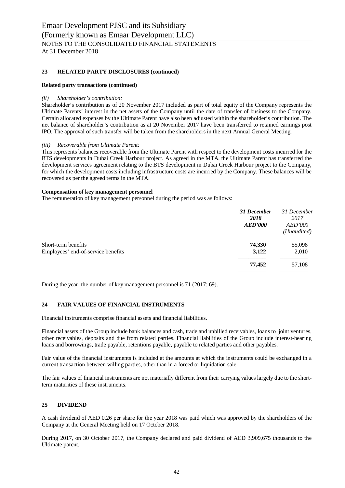## **23 RELATED PARTY DISCLOSURES (continued)**

#### **Related party transactions (continued)**

#### *(ii) Shareholder's contribution:*

Shareholder's contribution as of 20 November 2017 included as part of total equity of the Company represents the Ultimate Parents' interest in the net assets of the Company until the date of transfer of business to the Company. Certain allocated expenses by the Ultimate Parent have also been adjusted within the shareholder's contribution. The net balance of shareholder's contribution as at 20 November 2017 have been transferred to retained earnings post IPO. The approval of such transfer will be taken from the shareholders in the next Annual General Meeting.

#### *(iii) Recoverable from Ultimate Parent:*

This represents balances recoverable from the Ultimate Parent with respect to the development costs incurred for the BTS developments in Dubai Creek Harbour project. As agreed in the MTA, the Ultimate Parent has transferred the development services agreement relating to the BTS development in Dubai Creek Harbour project to the Company, for which the development costs including infrastructure costs are incurred by the Company. These balances will be recovered as per the agreed terms in the MTA.

#### **Compensation of key management personnel**

The remuneration of key management personnel during the period was as follows:

|                                    | 31 December<br>2018<br><b>AED'000</b> | 31 December<br>2017<br><i>AED'000</i><br>(Unaudited) |
|------------------------------------|---------------------------------------|------------------------------------------------------|
| Short-term benefits                | 74,330                                | 55,098                                               |
| Employees' end-of-service benefits | 3,122                                 | 2,010                                                |
|                                    | 77,452                                | 57,108                                               |
|                                    |                                       |                                                      |

During the year, the number of key management personnel is 71 (2017: 69).

## **24 FAIR VALUES OF FINANCIAL INSTRUMENTS**

Financial instruments comprise financial assets and financial liabilities.

Financial assets of the Group include bank balances and cash, trade and unbilled receivables, loans to joint ventures, other receivables, deposits and due from related parties. Financial liabilities of the Group include interest-bearing loans and borrowings, trade payable, retentions payable, payable to related parties and other payables.

Fair value of the financial instruments is included at the amounts at which the instruments could be exchanged in a current transaction between willing parties, other than in a forced or liquidation sale.

The fair values of financial instruments are not materially different from their carrying values largely due to the shortterm maturities of these instruments.

#### **25 DIVIDEND**

A cash dividend of AED 0.26 per share for the year 2018 was paid which was approved by the shareholders of the Company at the General Meeting held on 17 October 2018.

During 2017, on 30 October 2017, the Company declared and paid dividend of AED 3,909,675 thousands to the Ultimate parent.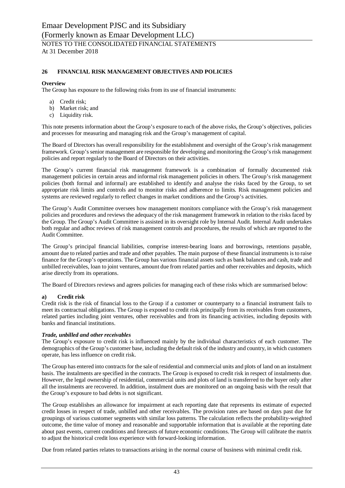## **26 FINANCIAL RISK MANAGEMENT OBJECTIVES AND POLICIES**

## **Overview**

The Group has exposure to the following risks from its use of financial instruments:

- a) Credit risk;
- b) Market risk; and
- c) Liquidity risk.

This note presents information about the Group's exposure to each of the above risks, the Group's objectives, policies and processes for measuring and managing risk and the Group's management of capital.

The Board of Directors has overall responsibility for the establishment and oversight of the Group's risk management framework. Group's senior management are responsible for developing and monitoring the Group's risk management policies and report regularly to the Board of Directors on their activities.

The Group's current financial risk management framework is a combination of formally documented risk management policies in certain areas and informal risk management policies in others. The Group's risk management policies (both formal and informal) are established to identify and analyse the risks faced by the Group, to set appropriate risk limits and controls and to monitor risks and adherence to limits. Risk management policies and systems are reviewed regularly to reflect changes in market conditions and the Group's activities.

The Group's Audit Committee oversees how management monitors compliance with the Group's risk management policies and procedures and reviews the adequacy of the risk management framework in relation to the risks faced by the Group. The Group's Audit Committee is assisted in its oversight role by Internal Audit. Internal Audit undertakes both regular and adhoc reviews of risk management controls and procedures, the results of which are reported to the Audit Committee.

The Group's principal financial liabilities, comprise interest-bearing loans and borrowings, retentions payable, amount due to related parties and trade and other payables. The main purpose of these financial instruments is to raise finance for the Group's operations. The Group has various financial assets such as bank balances and cash, trade and unbilled receivables, loan to joint ventures, amount due from related parties and other receivables and deposits, which arise directly from its operations.

The Board of Directors reviews and agrees policies for managing each of these risks which are summarised below:

## **a) Credit risk**

Credit risk is the risk of financial loss to the Group if a customer or counterparty to a financial instrument fails to meet its contractual obligations. The Group is exposed to credit risk principally from its receivables from customers, related parties including joint ventures, other receivables and from its financing activities, including deposits with banks and financial institutions.

## *Trade, unbilled and other receivables*

The Group's exposure to credit risk is influenced mainly by the individual characteristics of each customer. The demographics of the Group's customer base, including the default risk of the industry and country, in which customers operate, has less influence on credit risk.

The Group has entered into contracts for the sale of residential and commercial units and plots of land on an instalment basis. The instalments are specified in the contracts. The Group is exposed to credit risk in respect of instalments due. However, the legal ownership of residential, commercial units and plots of land is transferred to the buyer only after all the instalments are recovered. In addition, instalment dues are monitored on an ongoing basis with the result that the Group's exposure to bad debts is not significant.

The Group establishes an allowance for impairment at each reporting date that represents its estimate of expected credit losses in respect of trade, unbilled and other receivables. The provision rates are based on days past due for groupings of various customer segments with similar loss patterns. The calculation reflects the probability-weighted outcome, the time value of money and reasonable and supportable information that is available at the reporting date about past events, current conditions and forecasts of future economic conditions. The Group will calibrate the matrix to adjust the historical credit loss experience with forward-looking information.

Due from related parties relates to transactions arising in the normal course of business with minimal credit risk.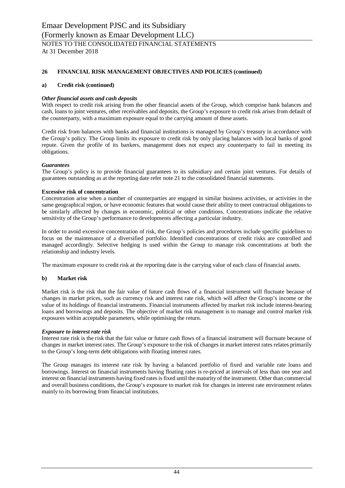## **26 FINANCIAL RISK MANAGEMENT OBJECTIVES AND POLICIES (continued)**

## **a) Credit risk (continued)**

## *Other financial assets and cash deposits*

With respect to credit risk arising from the other financial assets of the Group, which comprise bank balances and cash, loans to joint ventures, other receivables and deposits, the Group's exposure to credit risk arises from default of the counterparty, with a maximum exposure equal to the carrying amount of these assets.

Credit risk from balances with banks and financial institutions is managed by Group's treasury in accordance with the Group's policy. The Group limits its exposure to credit risk by only placing balances with local banks of good repute. Given the profile of its bankers, management does not expect any counterparty to fail in meeting its obligations.

## *Guarantees*

The Group's policy is to provide financial guarantees to its subsidiary and certain joint ventures. For details of guarantees outstanding as at the reporting date refer note 21 to the consolidated financial statements.

## **Excessive risk of concentration**

Concentration arise when a number of counterparties are engaged in similar business activities, or activities in the same geographical region, or have economic features that would cause their ability to meet contractual obligations to be similarly affected by changes in economic, political or other conditions. Concentrations indicate the relative sensitivity of the Group's performance to developments affecting a particular industry.

In order to avoid excessive concentration of risk, the Group's policies and procedures include specific guidelines to focus on the maintenance of a diversified portfolio. Identified concentrations of credit risks are controlled and managed accordingly. Selective hedging is used within the Group to manage risk concentrations at both the relationship and industry levels.

The maximum exposure to credit risk at the reporting date is the carrying value of each class of financial assets.

#### **b) Market risk**

Market risk is the risk that the fair value of future cash flows of a financial instrument will fluctuate because of changes in market prices, such as currency risk and interest rate risk, which will affect the Group's income or the value of its holdings of financial instruments. Financial instruments affected by market risk include interest-bearing loans and borrowings and deposits. The objective of market risk management is to manage and control market risk exposures within acceptable parameters, while optimising the return.

#### *Exposure to interest rate risk*

Interest rate risk is the risk that the fair value or future cash flows of a financial instrument will fluctuate because of changes in market interest rates. The Group's exposure to the risk of changes in market interest rates relates primarily to the Group's long-term debt obligations with floating interest rates.

The Group manages its interest rate risk by having a balanced portfolio of fixed and variable rate loans and borrowings. Interest on financial instruments having floating rates is re-priced at intervals of less than one year and interest on financial instruments having fixed rates is fixed until the maturity of the instrument. Other than commercial and overall business conditions, the Group's exposure to market risk for changes in interest rate environment relates mainly to its borrowing from financial institutions.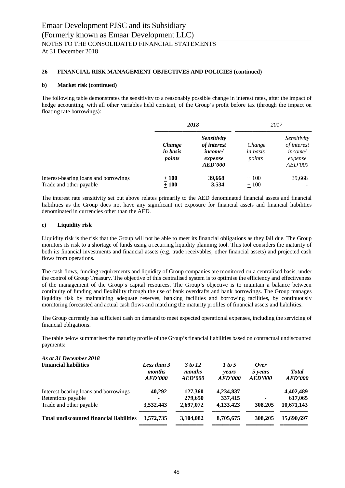## **26 FINANCIAL RISK MANAGEMENT OBJECTIVES AND POLICIES (continued)**

#### **b) Market risk (continued)**

The following table demonstrates the sensitivity to a reasonably possible change in interest rates, after the impact of hedge accounting, with all other variables held constant, of the Group's profit before tax (through the impact on floating rate borrowings):

|                                                                  | 2018                         |                                                                           | 2017                         |                                                                                  |
|------------------------------------------------------------------|------------------------------|---------------------------------------------------------------------------|------------------------------|----------------------------------------------------------------------------------|
|                                                                  | Change<br>in basis<br>points | <b>Sensitivity</b><br>of interest<br><i>income/</i><br>expense<br>AED'000 | Change<br>in basis<br>points | Sensitivity<br><i>of interest</i><br>income/<br>expense<br><i><b>AED'000</b></i> |
| Interest-bearing loans and borrowings<br>Trade and other payable | $+100$<br>$\pm 100$          | 39,668<br>3,534                                                           | $+100$<br>$\pm 100$          | 39,668                                                                           |

The interest rate sensitivity set out above relates primarily to the AED denominated financial assets and financial liabilities as the Group does not have any significant net exposure for financial assets and financial liabilities denominated in currencies other than the AED.

## **c) Liquidity risk**

Liquidity risk is the risk that the Group will not be able to meet its financial obligations as they fall due. The Group monitors its risk to a shortage of funds using a recurring liquidity planning tool. This tool considers the maturity of both its financial investments and financial assets (e.g. trade receivables, other financial assets) and projected cash flows from operations.

The cash flows, funding requirements and liquidity of Group companies are monitored on a centralised basis, under the control of Group Treasury. The objective of this centralised system is to optimise the efficiency and effectiveness of the management of the Group's capital resources. The Group's objective is to maintain a balance between continuity of funding and flexibility through the use of bank overdrafts and bank borrowings. The Group manages liquidity risk by maintaining adequate reserves, banking facilities and borrowing facilities, by continuously monitoring forecasted and actual cash flows and matching the maturity profiles of financial assets and liabilities.

The Group currently has sufficient cash on demand to meet expected operational expenses, including the servicing of financial obligations.

The table below summarises the maturity profile of the Group's financial liabilities based on contractual undiscounted payments:

| Less than 3<br>months<br>AED'000 | 3 to 12<br>months<br>AED'000                    | 1 to 5<br><i>vears</i><br>AED'000 | Over<br>5 years<br>AED'000 | <b>Total</b><br>AED'000 |
|----------------------------------|-------------------------------------------------|-----------------------------------|----------------------------|-------------------------|
| 40,292                           | 127,360                                         | 4,234,837                         | $\blacksquare$             | 4,402,489               |
|                                  | 279,650                                         | 337,415                           | ٠                          | 617,065                 |
| 3,532,443                        | 2,697,072                                       | 4,133,423                         | 308,205                    | 10,671,143              |
| 3,572,735                        | 3,104,082                                       | 8,705,675                         | 308,205                    | 15,690,697              |
|                                  | <b>Total undiscounted financial liabilities</b> |                                   |                            |                         |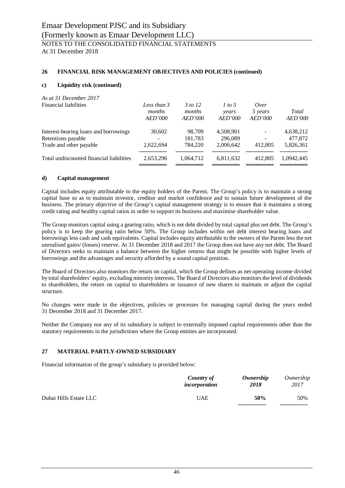## **26 FINANCIAL RISK MANAGEMENT OBJECTIVES AND POLICIES (continued)**

## **c) Liquidity risk (continued)**

## *As at 31 December 2017*

| <b>Financial liabilities</b>             | Less than 3<br>months<br>AED'000 | 3 to 12<br>months<br>AED'000 | 1 to 5<br>years<br>AED'000 | Over<br>5 years<br>AED'000 | Total<br>AED'000 |
|------------------------------------------|----------------------------------|------------------------------|----------------------------|----------------------------|------------------|
| Interest-bearing loans and borrowings    | 30,602                           | 98,709                       | 4,508,901                  | $\overline{\phantom{m}}$   | 4,638,212        |
| Retentions payable                       |                                  | 181,783                      | 296,089                    | $\overline{\phantom{a}}$   | 477,872          |
| Trade and other payable                  | 2,622,694                        | 784,220                      | 2,006,642                  | 412,805                    | 5,826,361        |
| Total undiscounted financial liabilities | 2,653,296                        | 1.064.712                    | 6,811,632                  | 412,805                    | 1.0942.445       |

#### **d) Capital management**

Capital includes equity attributable to the equity holders of the Parent. The Group's policy is to maintain a strong capital base so as to maintain investor, creditor and market confidence and to sustain future development of the business. The primary objective of the Group's capital management strategy is to ensure that it maintains a strong credit rating and healthy capital ratios in order to support its business and maximise shareholder value.

The Group monitors capital using a gearing ratio, which is net debt divided by total capital plus net debt. The Group's policy is to keep the gearing ratio below 50%. The Group includes within net debt interest bearing loans and borrowings less cash and cash equivalents. Capital includes equity attributable to the owners of the Parent less the net unrealised gains/ (losses) reserve. At 31 December 2018 and 2017 the Group does not have any net debt. The Board of Directors seeks to maintain a balance between the higher returns that might be possible with higher levels of borrowings and the advantages and security afforded by a sound capital position.

The Board of Directors also monitors the return on capital, which the Group defines as net operating income divided by total shareholders' equity, excluding minority interests. The Board of Directors also monitors the level of dividends to shareholders, the return on capital to shareholders or issuance of new shares to maintain or adjust the capital structure.

No changes were made in the objectives, policies or processes for managing capital during the years ended 31 December 2018 and 31 December 2017.

Neither the Company nor any of its subsidiary is subject to externally imposed capital requirements other than the statutory requirements in the jurisdictions where the Group entities are incorporated.

#### **27 MATERIAL PARTLY-OWNED SUBSIDIARY**

Financial information of the group's subsidiary is provided below:

|                        | Country of    | Ownership | Ownership |
|------------------------|---------------|-----------|-----------|
|                        | incorporation | 2018      | 2017      |
| Dubai Hills Estate LLC | <b>UAE</b>    | 50%       | 50%       |